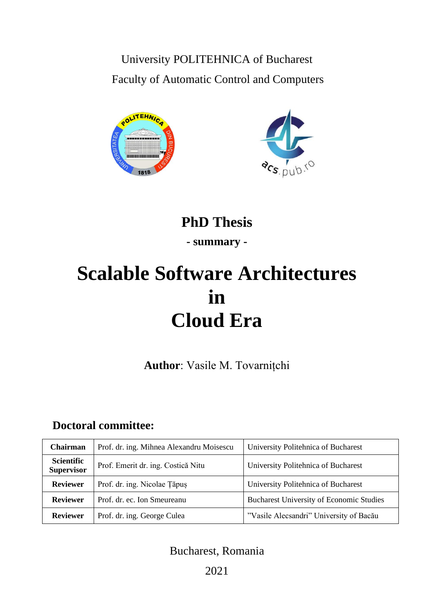University POLITEHNICA of Bucharest Faculty of Automatic Control and Computers





## **PhD Thesis - summary -**

# **Scalable Software Architectures in Cloud Era**

**Author**: Vasile M. Tovarnițchi

## **Doctoral committee:**

| <b>Chairman</b>                        | Prof. dr. ing. Mihnea Alexandru Moisescu | University Politehnica of Bucharest             |
|----------------------------------------|------------------------------------------|-------------------------------------------------|
| <b>Scientific</b><br><b>Supervisor</b> | Prof. Emerit dr. ing. Costică Nitu       | University Politehnica of Bucharest             |
| <b>Reviewer</b>                        | Prof. dr. ing. Nicolae Tăpuș             | University Politehnica of Bucharest             |
| <b>Reviewer</b>                        | Prof. dr. ec. Ion Smeureanu              | <b>Bucharest University of Economic Studies</b> |
| <b>Reviewer</b>                        | Prof. dr. ing. George Culea              | "Vasile Alecsandri" University of Bacău         |

## Bucharest, Romania

2021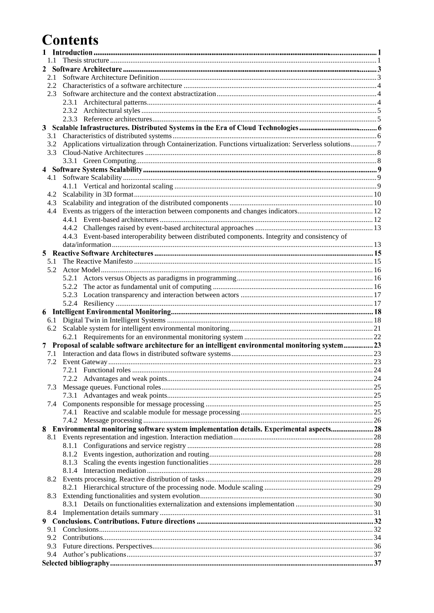## **Contents**

| 2   |                                                                                                       |  |  |  |
|-----|-------------------------------------------------------------------------------------------------------|--|--|--|
| 2.1 |                                                                                                       |  |  |  |
|     |                                                                                                       |  |  |  |
| 2.3 |                                                                                                       |  |  |  |
|     |                                                                                                       |  |  |  |
|     |                                                                                                       |  |  |  |
|     |                                                                                                       |  |  |  |
| 3   |                                                                                                       |  |  |  |
| 3.1 |                                                                                                       |  |  |  |
| 3.2 | Applications virtualization through Containerization. Functions virtualization: Serverless solutions7 |  |  |  |
| 3.3 |                                                                                                       |  |  |  |
|     |                                                                                                       |  |  |  |
|     |                                                                                                       |  |  |  |
| 4.1 |                                                                                                       |  |  |  |
|     |                                                                                                       |  |  |  |
| 4.2 |                                                                                                       |  |  |  |
| 4.3 |                                                                                                       |  |  |  |
| 4.4 |                                                                                                       |  |  |  |
|     |                                                                                                       |  |  |  |
|     |                                                                                                       |  |  |  |
|     | 4.4.3 Event-based interoperability between distributed components. Integrity and consistency of       |  |  |  |
|     |                                                                                                       |  |  |  |
| 5   |                                                                                                       |  |  |  |
| 5.1 |                                                                                                       |  |  |  |
|     |                                                                                                       |  |  |  |
|     |                                                                                                       |  |  |  |
|     |                                                                                                       |  |  |  |
|     |                                                                                                       |  |  |  |
|     |                                                                                                       |  |  |  |
|     |                                                                                                       |  |  |  |
| 6.1 |                                                                                                       |  |  |  |
|     |                                                                                                       |  |  |  |
|     |                                                                                                       |  |  |  |
|     | 7 Proposal of scalable software architecture for an intelligent environmental monitoring system 23    |  |  |  |
|     |                                                                                                       |  |  |  |
|     |                                                                                                       |  |  |  |
|     |                                                                                                       |  |  |  |
|     |                                                                                                       |  |  |  |
| 7.3 |                                                                                                       |  |  |  |
|     |                                                                                                       |  |  |  |
|     |                                                                                                       |  |  |  |
|     |                                                                                                       |  |  |  |
|     |                                                                                                       |  |  |  |
| 8.  | Environmental monitoring software system implementation details. Experimental aspects 28              |  |  |  |
| 8.1 |                                                                                                       |  |  |  |
|     |                                                                                                       |  |  |  |
|     |                                                                                                       |  |  |  |
|     |                                                                                                       |  |  |  |
|     |                                                                                                       |  |  |  |
|     |                                                                                                       |  |  |  |
|     |                                                                                                       |  |  |  |
| 8.3 |                                                                                                       |  |  |  |
|     |                                                                                                       |  |  |  |
|     |                                                                                                       |  |  |  |
|     |                                                                                                       |  |  |  |
| 9.1 |                                                                                                       |  |  |  |
|     |                                                                                                       |  |  |  |
| 9.2 |                                                                                                       |  |  |  |
| 9.3 |                                                                                                       |  |  |  |
| 9.4 |                                                                                                       |  |  |  |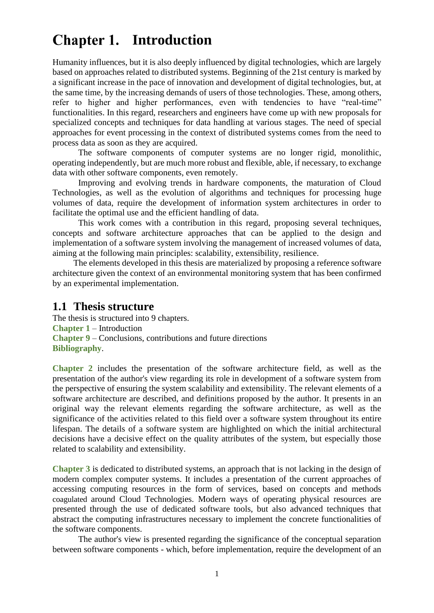## <span id="page-2-1"></span>**Chapter 1. Introduction**

Humanity influences, but it is also deeply influenced by digital technologies, which are largely based on approaches related to distributed systems. Beginning of the 21st century is marked by a significant increase in the pace of innovation and development of digital technologies, but, at the same time, by the increasing demands of users of those technologies. These, among others, refer to higher and higher performances, even with tendencies to have "real-time" functionalities. In this regard, researchers and engineers have come up with new proposals for specialized concepts and techniques for data handling at various stages. The need of special approaches for event processing in the context of distributed systems comes from the need to process data as soon as they are acquired.

The software components of computer systems are no longer rigid, monolithic, operating independently, but are much more robust and flexible, able, if necessary, to exchange data with other software components, even remotely.

Improving and evolving trends in hardware components, the maturation of Cloud Technologies, as well as the evolution of algorithms and techniques for processing huge volumes of data, require the development of information system architectures in order to facilitate the optimal use and the efficient handling of data.

This work comes with a contribution in this regard, proposing several techniques, concepts and software architecture approaches that can be applied to the design and implementation of a software system involving the management of increased volumes of data, aiming at the following main principles: scalability, extensibility, resilience.

The elements developed in this thesis are materialized by proposing a reference software architecture given the context of an environmental monitoring system that has been confirmed by an experimental implementation.

#### <span id="page-2-0"></span>**1.1 Thesis structure**

The thesis is structured into 9 chapters. **[Chapter 1](#page-2-1)** – Introduction **[Chapter 9](#page-33-1)** – Conclusions, contributions and future directions **[Bibliography](#page-38-1)**.

**[Chapter 2](#page-4-1)** includes the presentation of the software architecture field, as well as the presentation of the author's view regarding its role in development of a software system from the perspective of ensuring the system scalability and extensibility. The relevant elements of a software architecture are described, and definitions proposed by the author. It presents in an original way the relevant elements regarding the software architecture, as well as the significance of the activities related to this field over a software system throughout its entire lifespan. The details of a software system are highlighted on which the initial architectural decisions have a decisive effect on the quality attributes of the system, but especially those related to scalability and extensibility.

**[Chapter 3](#page-7-1)** is dedicated to distributed systems, an approach that is not lacking in the design of modern complex computer systems. It includes a presentation of the current approaches of accessing computing resources in the form of services, based on concepts and methods coagulated around Cloud Technologies. Modern ways of operating physical resources are presented through the use of dedicated software tools, but also advanced techniques that abstract the computing infrastructures necessary to implement the concrete functionalities of the software components.

The author's view is presented regarding the significance of the conceptual separation between software components - which, before implementation, require the development of an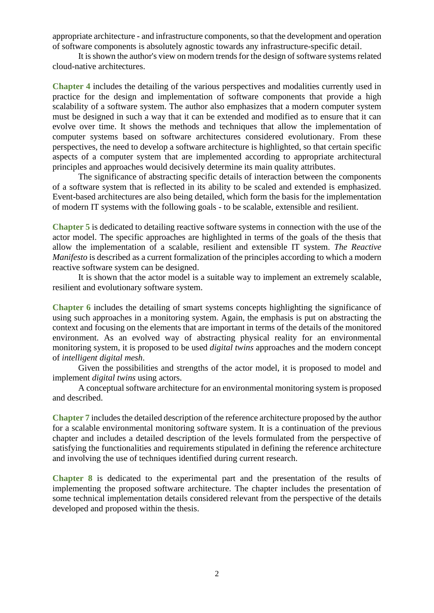appropriate architecture - and infrastructure components, so that the development and operation of software components is absolutely agnostic towards any infrastructure-specific detail.

It is shown the author's view on modern trends for the design of software systems related cloud-native architectures.

**[Chapter 4](#page-10-2)** includes the detailing of the various perspectives and modalities currently used in practice for the design and implementation of software components that provide a high scalability of a software system. The author also emphasizes that a modern computer system must be designed in such a way that it can be extended and modified as to ensure that it can evolve over time. It shows the methods and techniques that allow the implementation of computer systems based on software architectures considered evolutionary. From these perspectives, the need to develop a software architecture is highlighted, so that certain specific aspects of a computer system that are implemented according to appropriate architectural principles and approaches would decisively determine its main quality attributes.

The significance of abstracting specific details of interaction between the components of a software system that is reflected in its ability to be scaled and extended is emphasized. Event-based architectures are also being detailed, which form the basis for the implementation of modern IT systems with the following goals - to be scalable, extensible and resilient.

**[Chapter 5](#page-16-1)** is dedicated to detailing reactive software systems in connection with the use of the actor model. The specific approaches are highlighted in terms of the goals of the thesis that allow the implementation of a scalable, resilient and extensible IT system. *The Reactive Manifesto* is described as a current formalization of the principles according to which a modern reactive software system can be designed.

It is shown that the actor model is a suitable way to implement an extremely scalable, resilient and evolutionary software system.

**[Chapter 6](#page-19-1)** includes the detailing of smart systems concepts highlighting the significance of using such approaches in a monitoring system. Again, the emphasis is put on abstracting the context and focusing on the elements that are important in terms of the details of the monitored environment. As an evolved way of abstracting physical reality for an environmental monitoring system, it is proposed to be used *digital twins* approaches and the modern concept of *intelligent digital mesh*.

Given the possibilities and strengths of the actor model, it is proposed to model and implement *digital twins* using actors.

A conceptual software architecture for an environmental monitoring system is proposed and described.

**[Chapter 7](#page-24-2)** includes the detailed description of the reference architecture proposed by the author for a scalable environmental monitoring software system. It is a continuation of the previous chapter and includes a detailed description of the levels formulated from the perspective of satisfying the functionalities and requirements stipulated in defining the reference architecture and involving the use of techniques identified during current research.

**[Chapter 8](#page-29-5)** is dedicated to the experimental part and the presentation of the results of implementing the proposed software architecture. The chapter includes the presentation of some technical implementation details considered relevant from the perspective of the details developed and proposed within the thesis.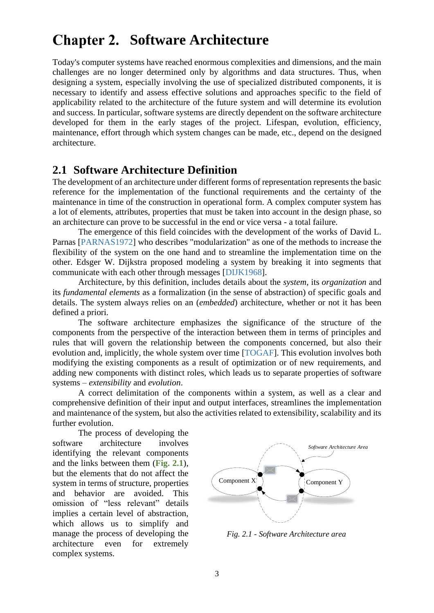## <span id="page-4-1"></span>**Chapter 2. Software Architecture**

Today's computer systems have reached enormous complexities and dimensions, and the main challenges are no longer determined only by algorithms and data structures. Thus, when designing a system, especially involving the use of specialized distributed components, it is necessary to identify and assess effective solutions and approaches specific to the field of applicability related to the architecture of the future system and will determine its evolution and success. In particular, software systems are directly dependent on the software architecture developed for them in the early stages of the project. Lifespan, evolution, efficiency, maintenance, effort through which system changes can be made, etc., depend on the designed architecture.

#### <span id="page-4-0"></span>**2.1 Software Architecture Definition**

The development of an architecture under different forms of representation represents the basic reference for the implementation of the functional requirements and the certainty of the maintenance in time of the construction in operational form. A complex computer system has a lot of elements, attributes, properties that must be taken into account in the design phase, so an architecture can prove to be successful in the end or vice versa - a total failure.

The emergence of this field coincides with the development of the works of David L. Parnas [PARNAS1972] who describes "modularization" as one of the methods to increase the flexibility of the system on the one hand and to streamline the implementation time on the other. Edsger W. Dijkstra proposed modeling a system by breaking it into segments that communicate with each other through messages [DIJK1968].

Architecture, by this definition, includes details about the *system*, its *organization* and its *fundamental elements* as a formalization (in the sense of abstraction) of specific goals and details. The system always relies on an (*embedded*) architecture, whether or not it has been defined a priori.

The software architecture emphasizes the significance of the structure of the components from the perspective of the interaction between them in terms of principles and rules that will govern the relationship between the components concerned, but also their evolution and, implicitly, the whole system over time [TOGAF]. This evolution involves both modifying the existing components as a result of optimization or of new requirements, and adding new components with distinct roles, which leads us to separate properties of software systems – *extensibility* and *evolution*.

A correct delimitation of the components within a system, as well as a clear and comprehensive definition of their input and output interfaces, streamlines the implementation and maintenance of the system, but also the activities related to extensibility, scalability and its further evolution.

The process of developing the software architecture involves identifying the relevant components and the links between them (**[Fig. 2.1](#page-4-2)**), but the elements that do not affect the system in terms of structure, properties and behavior are avoided. This omission of "less relevant" details implies a certain level of abstraction, which allows us to simplify and manage the process of developing the architecture even for extremely complex systems.



<span id="page-4-2"></span>*Fig. 2.1 - Software Architecture area*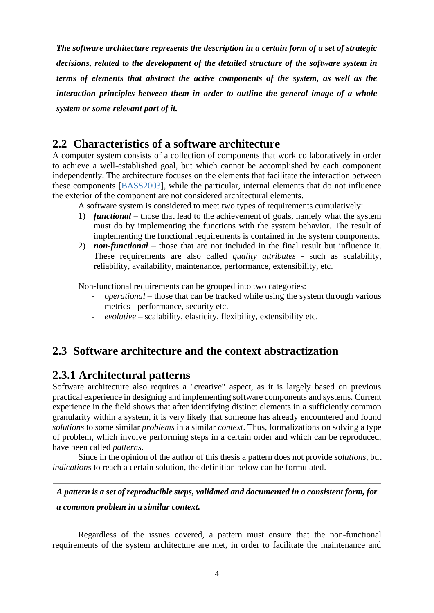*The software architecture represents the description in a certain form of a set of strategic decisions, related to the development of the detailed structure of the software system in terms of elements that abstract the active components of the system, as well as the interaction principles between them in order to outline the general image of a whole system or some relevant part of it.*

#### <span id="page-5-0"></span>**2.2 Characteristics of a software architecture**

A computer system consists of a collection of components that work collaboratively in order to achieve a well-established goal, but which cannot be accomplished by each component independently. The architecture focuses on the elements that facilitate the interaction between these components [BASS2003], while the particular, internal elements that do not influence the exterior of the component are not considered architectural elements.

A software system is considered to meet two types of requirements cumulatively:

- 1) *functional* those that lead to the achievement of goals, namely what the system must do by implementing the functions with the system behavior. The result of implementing the functional requirements is contained in the system components.
- 2) *non-functional* those that are not included in the final result but influence it. These requirements are also called *quality attributes* - such as scalability, reliability, availability, maintenance, performance, extensibility, etc.

Non-functional requirements can be grouped into two categories:

- *operational* those that can be tracked while using the system through various metrics - performance, security etc.
- *evolutive* scalability, elasticity, flexibility, extensibility etc.

### <span id="page-5-1"></span>**2.3 Software architecture and the context abstractization**

### <span id="page-5-2"></span>**2.3.1 Architectural patterns**

Software architecture also requires a "creative" aspect, as it is largely based on previous practical experience in designing and implementing software components and systems. Current experience in the field shows that after identifying distinct elements in a sufficiently common granularity within a system, it is very likely that someone has already encountered and found *solutions* to some similar *problems* in a similar *context*. Thus, formalizations on solving a type of problem, which involve performing steps in a certain order and which can be reproduced, have been called *patterns*.

Since in the opinion of the author of this thesis a pattern does not provide *solutions*, but *indications* to reach a certain solution, the definition below can be formulated.

### *A pattern is a set of reproducible steps, validated and documented in a consistent form, for*

*a common problem in a similar context.*

Regardless of the issues covered, a pattern must ensure that the non-functional requirements of the system architecture are met, in order to facilitate the maintenance and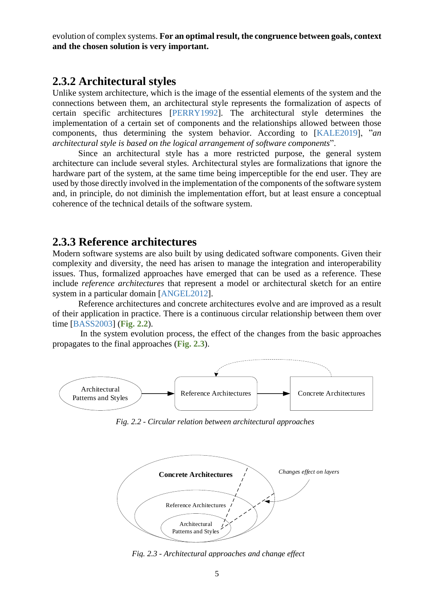evolution of complex systems. **For an optimal result, the congruence between goals, context and the chosen solution is very important.**

#### <span id="page-6-0"></span>**2.3.2 Architectural styles**

Unlike system architecture, which is the image of the essential elements of the system and the connections between them, an architectural style represents the formalization of aspects of certain specific architectures [PERRY1992]. The architectural style determines the implementation of a certain set of components and the relationships allowed between those components, thus determining the system behavior. According to [KALE2019], "*an architectural style is based on the logical arrangement of software components*".

Since an architectural style has a more restricted purpose, the general system architecture can include several styles. Architectural styles are formalizations that ignore the hardware part of the system, at the same time being imperceptible for the end user. They are used by those directly involved in the implementation of the components of the software system and, in principle, do not diminish the implementation effort, but at least ensure a conceptual coherence of the technical details of the software system.

#### <span id="page-6-1"></span>**2.3.3 Reference architectures**

Modern software systems are also built by using dedicated software components. Given their complexity and diversity, the need has arisen to manage the integration and interoperability issues. Thus, formalized approaches have emerged that can be used as a reference. These include *reference architectures* that represent a model or architectural sketch for an entire system in a particular domain [ANGEL2012].

Reference architectures and concrete architectures evolve and are improved as a result of their application in practice. There is a continuous circular relationship between them over time [BASS2003] (**[Fig. 2.2](#page-6-2)**).

In the system evolution process, the effect of the changes from the basic approaches propagates to the final approaches (**[Fig. 2.3](#page-6-3)**).



*Fig. 2.2 - Circular relation between architectural approaches*

<span id="page-6-2"></span>

<span id="page-6-3"></span>*Fig. 2.3 - Architectural approaches and change effect*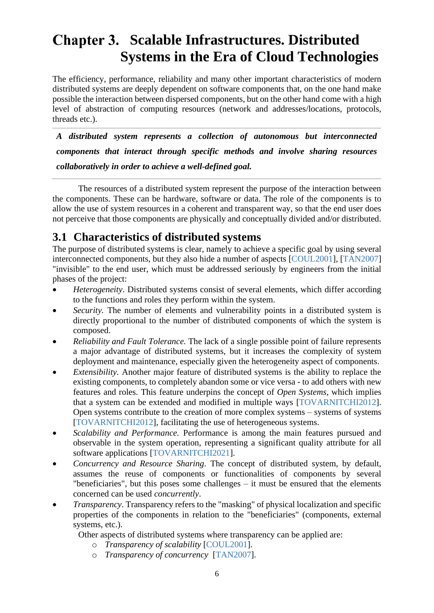## <span id="page-7-1"></span>**Chapter 3. Scalable Infrastructures. Distributed Systems in the Era of Cloud Technologies**

The efficiency, performance, reliability and many other important characteristics of modern distributed systems are deeply dependent on software components that, on the one hand make possible the interaction between dispersed components, but on the other hand come with a high level of abstraction of computing resources (network and addresses/locations, protocols, threads etc.).

*A distributed system represents a collection of autonomous but interconnected components that interact through specific methods and involve sharing resources collaboratively in order to achieve a well-defined goal.*

The resources of a distributed system represent the purpose of the interaction between the components. These can be hardware, software or data. The role of the components is to allow the use of system resources in a coherent and transparent way, so that the end user does not perceive that those components are physically and conceptually divided and/or distributed.

## <span id="page-7-0"></span>**3.1 Characteristics of distributed systems**

The purpose of distributed systems is clear, namely to achieve a specific goal by using several interconnected components, but they also hide a number of aspects [COUL2001], [TAN2007] "invisible" to the end user, which must be addressed seriously by engineers from the initial phases of the project:

- *Heterogeneity*. Distributed systems consist of several elements, which differ according to the functions and roles they perform within the system.
- *Security.* The number of elements and vulnerability points in a distributed system is directly proportional to the number of distributed components of which the system is composed.
- *Reliability and Fault Tolerance*. The lack of a single possible point of failure represents a major advantage of distributed systems, but it increases the complexity of system deployment and maintenance, especially given the heterogeneity aspect of components.
- *Extensibility.* Another major feature of distributed systems is the ability to replace the existing components, to completely abandon some or vice versa - to add others with new features and roles. This feature underpins the concept of *Open Systems*, which implies that a system can be extended and modified in multiple ways [TOVARNITCHI2012]. Open systems contribute to the creation of more complex systems – systems of systems [TOVARNITCHI2012], facilitating the use of heterogeneous systems.
- *Scalability and Performance.* Performance is among the main features pursued and observable in the system operation, representing a significant quality attribute for all software applications [TOVARNITCHI2021].
- *Concurrency and Resource Sharing*. The concept of distributed system, by default, assumes the reuse of components or functionalities of components by several "beneficiaries", but this poses some challenges – it must be ensured that the elements concerned can be used *concurrently*.
- *Transparency*. Transparency refers to the "masking" of physical localization and specific properties of the components in relation to the "beneficiaries" (components, external systems, etc.).

Other aspects of distributed systems where transparency can be applied are:

- o *Transparency of scalability* [COUL2001].
- o *Transparency of concurrency* [TAN2007].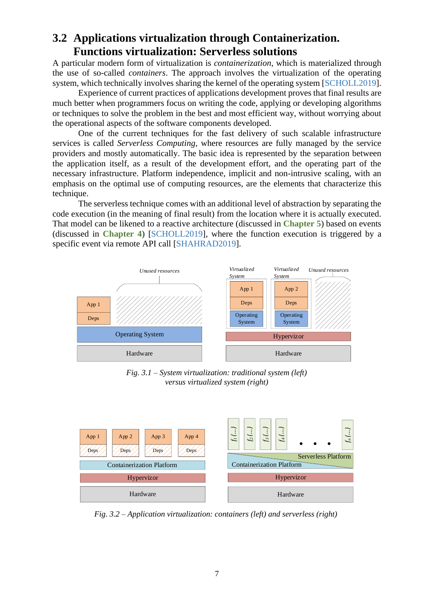#### <span id="page-8-0"></span>**3.2 Applications virtualization through Containerization. Functions virtualization: Serverless solutions**

A particular modern form of virtualization is *containerization*, which is materialized through the use of so-called *containers*. The approach involves the virtualization of the operating system, which technically involves sharing the kernel of the operating system [SCHOLL2019].

Experience of current practices of applications development proves that final results are much better when programmers focus on writing the code, applying or developing algorithms or techniques to solve the problem in the best and most efficient way, without worrying about the operational aspects of the software components developed.

One of the current techniques for the fast delivery of such scalable infrastructure services is called *Serverless Computing*, where resources are fully managed by the service providers and mostly automatically. The basic idea is represented by the separation between the application itself, as a result of the development effort, and the operating part of the necessary infrastructure. Platform independence, implicit and non-intrusive scaling, with an emphasis on the optimal use of computing resources, are the elements that characterize this technique.

The serverless technique comes with an additional level of abstraction by separating the code execution (in the meaning of final result) from the location where it is actually executed. That model can be likened to a reactive architecture (discussed in **[Chapter 5](#page-16-1)**) based on events (discussed in **[Chapter 4](#page-10-2)**) [SCHOLL2019], where the function execution is triggered by a specific event via remote API call [SHAHRAD2019].



*Fig. 3.1 – System virtualization: traditional system (left) versus virtualized system (right)*



*Fig. 3.2 – Application virtualization: containers (left) and serverless (right)*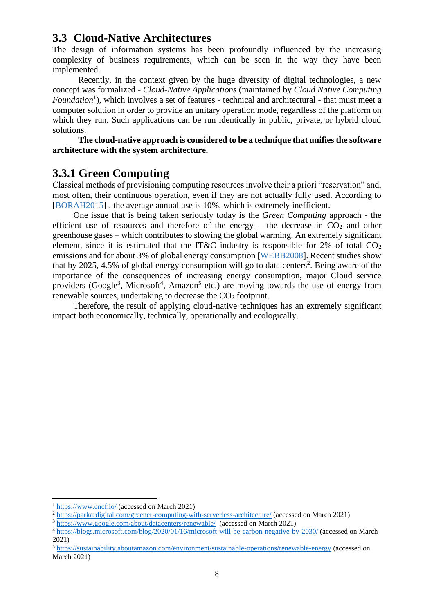#### <span id="page-9-0"></span>**3.3 Cloud-Native Architectures**

The design of information systems has been profoundly influenced by the increasing complexity of business requirements, which can be seen in the way they have been implemented.

Recently, in the context given by the huge diversity of digital technologies, a new concept was formalized - *Cloud-Native Applications* (maintained by *Cloud Native Computing*  Foundation<sup>1</sup>), which involves a set of features - technical and architectural - that must meet a computer solution in order to provide an unitary operation mode, regardless of the platform on which they run. Such applications can be run identically in public, private, or hybrid cloud solutions.

**The cloud-native approach is considered to be a technique that unifies the software architecture with the system architecture.**

#### <span id="page-9-1"></span>**3.3.1 Green Computing**

Classical methods of provisioning computing resources involve their a priori "reservation" and, most often, their continuous operation, even if they are not actually fully used. According to [BORAH2015] , the average annual use is 10%, which is extremely inefficient.

One issue that is being taken seriously today is the *Green Computing* approach - the efficient use of resources and therefore of the energy – the decrease in  $CO<sub>2</sub>$  and other greenhouse gases – which contributes to slowing the global warming. An extremely significant element, since it is estimated that the IT&C industry is responsible for  $2\%$  of total  $CO<sub>2</sub>$ emissions and for about 3% of global energy consumption [WEBB2008]. Recent studies show that by 2025, 4.5% of global energy consumption will go to data centers<sup>2</sup>. Being aware of the importance of the consequences of increasing energy consumption, major Cloud service providers (Google<sup>3</sup>, Microsoft<sup>4</sup>, Amazon<sup>5</sup> etc.) are moving towards the use of energy from renewable sources, undertaking to decrease the  $CO<sub>2</sub>$  footprint.

Therefore, the result of applying cloud-native techniques has an extremely significant impact both economically, technically, operationally and ecologically.

<sup>1</sup> <https://www.cncf.io/> (accessed on March 2021)

<sup>&</sup>lt;sup>2</sup> <https://parkardigital.com/greener-computing-with-serverless-architecture/> (accessed on March 2021)

<sup>3</sup> <https://www.google.com/about/datacenters/renewable/>(accessed on March 2021)

<sup>4</sup> <https://blogs.microsoft.com/blog/2020/01/16/microsoft-will-be-carbon-negative-by-2030/> (accessed on March 2021)

<sup>5</sup> <https://sustainability.aboutamazon.com/environment/sustainable-operations/renewable-energy> (accessed on March 2021)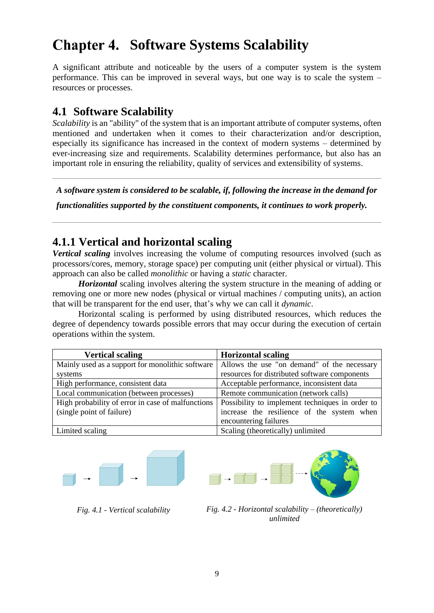## <span id="page-10-2"></span>**Chapter 4. Software Systems Scalability**

A significant attribute and noticeable by the users of a computer system is the system performance. This can be improved in several ways, but one way is to scale the system – resources or processes.

### <span id="page-10-0"></span>**4.1 Software Scalability**

*Scalability* is an "ability" of the system that is an important attribute of computer systems, often mentioned and undertaken when it comes to their characterization and/or description, especially its significance has increased in the context of modern systems – determined by ever-increasing size and requirements. Scalability determines performance, but also has an important role in ensuring the reliability, quality of services and extensibility of systems.

*A software system is considered to be scalable, if, following the increase in the demand for* 

*functionalities supported by the constituent components, it continues to work properly.*

## <span id="page-10-1"></span>**4.1.1 Vertical and horizontal scaling**

*Vertical scaling* involves increasing the volume of computing resources involved (such as processors/cores, memory, storage space) per computing unit (either physical or virtual). This approach can also be called *monolithic* or having a *static* character.

*Horizontal* scaling involves altering the system structure in the meaning of adding or removing one or more new nodes (physical or virtual machines / computing units), an action that will be transparent for the end user, that's why we can call it *dynamic*.

Horizontal scaling is performed by using distributed resources, which reduces the degree of dependency towards possible errors that may occur during the execution of certain operations within the system.

| <b>Vertical scaling</b>                           | <b>Horizontal scaling</b>                       |
|---------------------------------------------------|-------------------------------------------------|
| Mainly used as a support for monolithic software  | Allows the use "on demand" of the necessary     |
| systems                                           | resources for distributed software components   |
| High performance, consistent data                 | Acceptable performance, inconsistent data       |
| Local communication (between processes)           | Remote communication (network calls)            |
| High probability of error in case of malfunctions | Possibility to implement techniques in order to |
| (single point of failure)                         | increase the resilience of the system when      |
|                                                   | encountering failures                           |
| Limited scaling                                   | Scaling (theoretically) unlimited               |





*Fig. 4.1 - Vertical scalability Fig. 4.2 - Horizontal scalability – (theoretically) unlimited*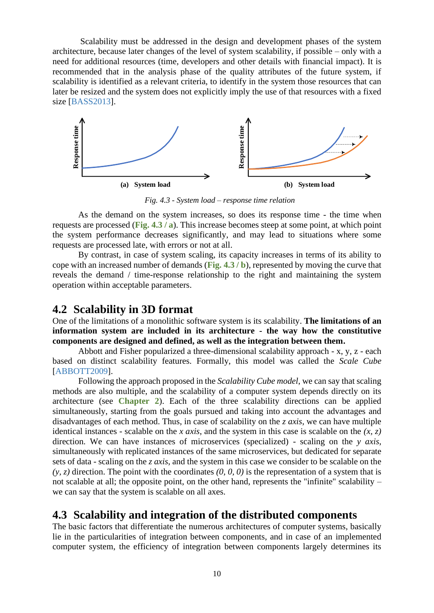Scalability must be addressed in the design and development phases of the system architecture, because later changes of the level of system scalability, if possible – only with a need for additional resources (time, developers and other details with financial impact). It is recommended that in the analysis phase of the quality attributes of the future system, if scalability is identified as a relevant criteria, to identify in the system those resources that can later be resized and the system does not explicitly imply the use of that resources with a fixed size [BASS2013].



*Fig. 4.3 - System load – response time relation*

<span id="page-11-2"></span>As the demand on the system increases, so does its response time - the time when requests are processed (**[Fig. 4.3](#page-11-2) / a**). This increase becomes steep at some point, at which point the system performance decreases significantly, and may lead to situations where some requests are processed late, with errors or not at all.

By contrast, in case of system scaling, its capacity increases in terms of its ability to cope with an increased number of demands (**[Fig. 4.3](#page-11-2) / b**), represented by moving the curve that reveals the demand / time-response relationship to the right and maintaining the system operation within acceptable parameters.

#### <span id="page-11-0"></span>**4.2 Scalability in 3D format**

One of the limitations of a monolithic software system is its scalability. **The limitations of an information system are included in its architecture - the way how the constitutive components are designed and defined, as well as the integration between them.**

Abbott and Fisher popularized a three-dimensional scalability approach - x, y, z - each based on distinct scalability features. Formally, this model was called the *Scale Cube* [ABBOTT2009].

Following the approach proposed in the *Scalability Cube model*, we can say that scaling methods are also multiple, and the scalability of a computer system depends directly on its architecture (see **[Chapter 2](#page-4-1)**). Each of the three scalability directions can be applied simultaneously, starting from the goals pursued and taking into account the advantages and disadvantages of each method. Thus, in case of scalability on the *z axis*, we can have multiple identical instances - scalable on the *x axis*, and the system in this case is scalable on the *(x, z)* direction. We can have instances of microservices (specialized) - scaling on the *y axis*, simultaneously with replicated instances of the same microservices, but dedicated for separate sets of data - scaling on the *z axis*, and the system in this case we consider to be scalable on the  $(y, z)$  direction. The point with the coordinates  $(0, 0, 0)$  is the representation of a system that is not scalable at all; the opposite point, on the other hand, represents the "infinite" scalability – we can say that the system is scalable on all axes.

#### <span id="page-11-1"></span>**4.3 Scalability and integration of the distributed components**

The basic factors that differentiate the numerous architectures of computer systems, basically lie in the particularities of integration between components, and in case of an implemented computer system, the efficiency of integration between components largely determines its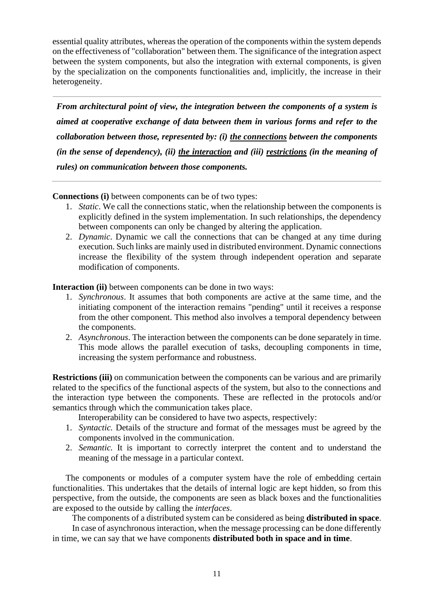essential quality attributes, whereas the operation of the components within the system depends on the effectiveness of "collaboration" between them. The significance of the integration aspect between the system components, but also the integration with external components, is given by the specialization on the components functionalities and, implicitly, the increase in their heterogeneity.

*From architectural point of view, the integration between the components of a system is aimed at cooperative exchange of data between them in various forms and refer to the collaboration between those, represented by: (i) the connections between the components (in the sense of dependency), (ii) the interaction and (iii) restrictions (in the meaning of rules) on communication between those components.*

**Connections (i)** between components can be of two types:

- 1. *Static*. We call the connections static, when the relationship between the components is explicitly defined in the system implementation. In such relationships, the dependency between components can only be changed by altering the application.
- 2. *Dynamic*. Dynamic we call the connections that can be changed at any time during execution. Such links are mainly used in distributed environment. Dynamic connections increase the flexibility of the system through independent operation and separate modification of components.

**Interaction (ii)** between components can be done in two ways:

- 1. *Synchronous*. It assumes that both components are active at the same time, and the initiating component of the interaction remains "pending" until it receives a response from the other component. This method also involves a temporal dependency between the components.
- 2. *Asynchronous*. The interaction between the components can be done separately in time. This mode allows the parallel execution of tasks, decoupling components in time, increasing the system performance and robustness.

**Restrictions (iii)** on communication between the components can be various and are primarily related to the specifics of the functional aspects of the system, but also to the connections and the interaction type between the components. These are reflected in the protocols and/or semantics through which the communication takes place.

Interoperability can be considered to have two aspects, respectively:

- 1. *Syntactic.* Details of the structure and format of the messages must be agreed by the components involved in the communication.
- 2. *Semantic.* It is important to correctly interpret the content and to understand the meaning of the message in a particular context.

The components or modules of a computer system have the role of embedding certain functionalities. This undertakes that the details of internal logic are kept hidden, so from this perspective, from the outside, the components are seen as black boxes and the functionalities are exposed to the outside by calling the *interfaces*.

The components of a distributed system can be considered as being **distributed in space**.

 In case of asynchronous interaction, when the message processing can be done differently in time, we can say that we have components **distributed both in space and in time**.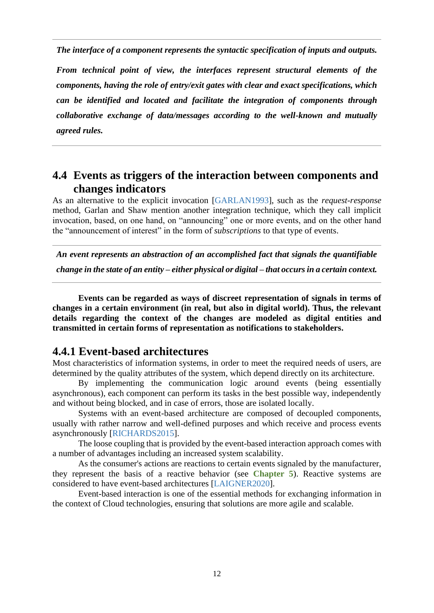*The interface of a component represents the syntactic specification of inputs and outputs.*

*From technical point of view, the interfaces represent structural elements of the components, having the role of entry/exit gates with clear and exact specifications, which can be identified and located and facilitate the integration of components through collaborative exchange of data/messages according to the well-known and mutually agreed rules.*

#### <span id="page-13-0"></span>**4.4 Events as triggers of the interaction between components and changes indicators**

As an alternative to the explicit invocation [GARLAN1993], such as the *request-response* method, Garlan and Shaw mention another integration technique, which they call implicit invocation, based, on one hand, on "announcing" one or more events, and on the other hand the "announcement of interest" in the form of *subscriptions* to that type of events.

*An event represents an abstraction of an accomplished fact that signals the quantifiable* 

*change in the state of an entity – either physical or digital – that occurs in a certain context.*

**Events can be regarded as ways of discreet representation of signals in terms of changes in a certain environment (in real, but also in digital world). Thus, the relevant details regarding the context of the changes are modeled as digital entities and transmitted in certain forms of representation as notifications to stakeholders.**

#### <span id="page-13-1"></span>**4.4.1 Event-based architectures**

Most characteristics of information systems, in order to meet the required needs of users, are determined by the quality attributes of the system, which depend directly on its architecture.

By implementing the communication logic around events (being essentially asynchronous), each component can perform its tasks in the best possible way, independently and without being blocked, and in case of errors, those are isolated locally.

Systems with an event-based architecture are composed of decoupled components, usually with rather narrow and well-defined purposes and which receive and process events asynchronously [RICHARDS2015].

The loose coupling that is provided by the event-based interaction approach comes with a number of advantages including an increased system scalability.

As the consumer's actions are reactions to certain events signaled by the manufacturer, they represent the basis of a reactive behavior (see **[Chapter 5](#page-16-1)**). Reactive systems are considered to have event-based architectures [LAIGNER2020].

Event-based interaction is one of the essential methods for exchanging information in the context of Cloud technologies, ensuring that solutions are more agile and scalable.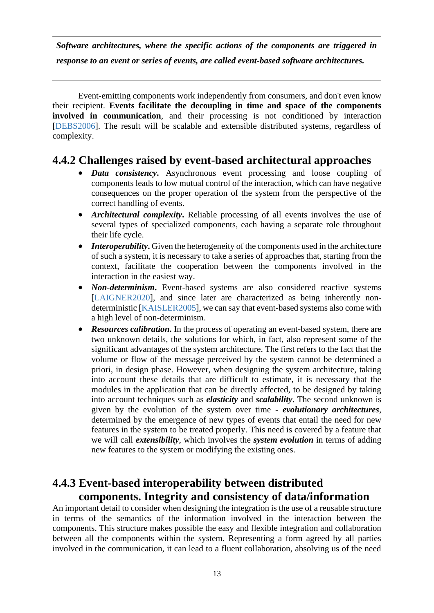*Software architectures, where the specific actions of the components are triggered in response to an event or series of events, are called event-based software architectures.*

Event-emitting components work independently from consumers, and don't even know their recipient. **Events facilitate the decoupling in time and space of the components involved in communication**, and their processing is not conditioned by interaction [DEBS2006]. The result will be scalable and extensible distributed systems, regardless of complexity.

#### <span id="page-14-0"></span>**4.4.2 Challenges raised by event-based architectural approaches**

- *Data consistency*. Asynchronous event processing and loose coupling of components leads to low mutual control of the interaction, which can have negative consequences on the proper operation of the system from the perspective of the correct handling of events.
- *Architectural complexity***.** Reliable processing of all events involves the use of several types of specialized components, each having a separate role throughout their life cycle.
- *Interoperability*. Given the heterogeneity of the components used in the architecture of such a system, it is necessary to take a series of approaches that, starting from the context, facilitate the cooperation between the components involved in the interaction in the easiest way.
- *Non-determinism***.** Event-based systems are also considered reactive systems [LAIGNER2020], and since later are characterized as being inherently nondeterministic [KAISLER2005], we can say that event-based systems also come with a high level of non-determinism.
- *Resources calibration*. In the process of operating an event-based system, there are two unknown details, the solutions for which, in fact, also represent some of the significant advantages of the system architecture. The first refers to the fact that the volume or flow of the message perceived by the system cannot be determined a priori, in design phase. However, when designing the system architecture, taking into account these details that are difficult to estimate, it is necessary that the modules in the application that can be directly affected, to be designed by taking into account techniques such as *elasticity* and *scalability*. The second unknown is given by the evolution of the system over time - *evolutionary architectures*, determined by the emergence of new types of events that entail the need for new features in the system to be treated properly. This need is covered by a feature that we will call *extensibility*, which involves the *system evolution* in terms of adding new features to the system or modifying the existing ones.

#### <span id="page-14-1"></span>**4.4.3 Event-based interoperability between distributed components. Integrity and consistency of data/information**

An important detail to consider when designing the integration is the use of a reusable structure in terms of the semantics of the information involved in the interaction between the components. This structure makes possible the easy and flexible integration and collaboration between all the components within the system. Representing a form agreed by all parties involved in the communication, it can lead to a fluent collaboration, absolving us of the need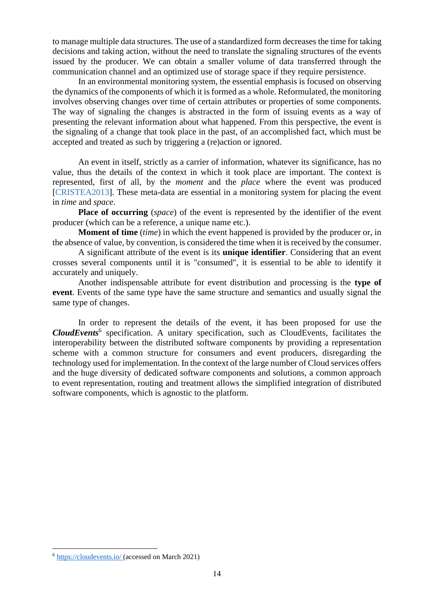to manage multiple data structures. The use of a standardized form decreases the time for taking decisions and taking action, without the need to translate the signaling structures of the events issued by the producer. We can obtain a smaller volume of data transferred through the communication channel and an optimized use of storage space if they require persistence.

In an environmental monitoring system, the essential emphasis is focused on observing the dynamics of the components of which it is formed as a whole. Reformulated, the monitoring involves observing changes over time of certain attributes or properties of some components. The way of signaling the changes is abstracted in the form of issuing events as a way of presenting the relevant information about what happened. From this perspective, the event is the signaling of a change that took place in the past, of an accomplished fact, which must be accepted and treated as such by triggering a (re)action or ignored.

An event in itself, strictly as a carrier of information, whatever its significance, has no value, thus the details of the context in which it took place are important. The context is represented, first of all, by the *moment* and the *place* where the event was produced [CRISTEA2013]. These meta-data are essential in a monitoring system for placing the event in *time* and *space*.

**Place of occurring** (*space*) of the event is represented by the identifier of the event producer (which can be a reference, a unique name etc.).

**Moment of time** (*time*) in which the event happened is provided by the producer or, in the absence of value, by convention, is considered the time when it is received by the consumer.

A significant attribute of the event is its **unique identifier**. Considering that an event crosses several components until it is "consumed", it is essential to be able to identify it accurately and uniquely.

Another indispensable attribute for event distribution and processing is the **type of event**. Events of the same type have the same structure and semantics and usually signal the same type of changes.

In order to represent the details of the event, it has been proposed for use the *CloudEvents*<sup>6</sup> specification. A unitary specification, such as CloudEvents, facilitates the interoperability between the distributed software components by providing a representation scheme with a common structure for consumers and event producers, disregarding the technology used for implementation. In the context of the large number of Cloud services offers and the huge diversity of dedicated software components and solutions, a common approach to event representation, routing and treatment allows the simplified integration of distributed software components, which is agnostic to the platform.

<sup>6</sup> <https://cloudevents.io/> (accessed on March 2021)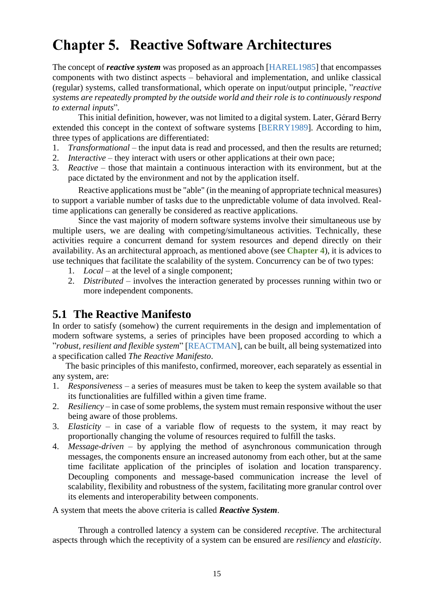## <span id="page-16-1"></span>**Chapter 5. Reactive Software Architectures**

The concept of *reactive system* was proposed as an approach [HAREL1985] that encompasses components with two distinct aspects – behavioral and implementation, and unlike classical (regular) systems, called transformational, which operate on input/output principle, "*reactive systems are repeatedly prompted by the outside world and their role is to continuously respond to external inputs*"*.* 

This initial definition, however, was not limited to a digital system. Later, Gérard Berry extended this concept in the context of software systems [BERRY1989]. According to him, three types of applications are differentiated:

- 1. *Transformational –* the input data is read and processed, and then the results are returned;
- 2. *Interactive –* they interact with users or other applications at their own pace;
- 3. *Reactive –* those that maintain a continuous interaction with its environment, but at the pace dictated by the environment and not by the application itself.

Reactive applications must be "able" (in the meaning of appropriate technical measures) to support a variable number of tasks due to the unpredictable volume of data involved. Realtime applications can generally be considered as reactive applications.

Since the vast majority of modern software systems involve their simultaneous use by multiple users, we are dealing with competing/simultaneous activities. Technically, these activities require a concurrent demand for system resources and depend directly on their availability. As an architectural approach, as mentioned above (see **[Chapter 4](#page-10-2)**), it is advices to use techniques that facilitate the scalability of the system. Concurrency can be of two types:

- 1. *Local* at the level of a single component;
- 2. *Distributed* involves the interaction generated by processes running within two or more independent components.

## <span id="page-16-0"></span>**5.1 The Reactive Manifesto**

In order to satisfy (somehow) the current requirements in the design and implementation of modern software systems, a series of principles have been proposed according to which a "*robust, resilient and flexible system*" [REACTMAN], can be built, all being systematized into a specification called *The Reactive Manifesto*.

The basic principles of this manifesto, confirmed, moreover, each separately as essential in any system, are:

- 1. *Responsiveness* a series of measures must be taken to keep the system available so that its functionalities are fulfilled within a given time frame.
- 2. *Resiliency* in case of some problems, the system must remain responsive without the user being aware of those problems.
- 3. *Elasticity* in case of a variable flow of requests to the system, it may react by proportionally changing the volume of resources required to fulfill the tasks.
- 4. *Message-driven* by applying the method of asynchronous communication through messages, the components ensure an increased autonomy from each other, but at the same time facilitate application of the principles of isolation and location transparency. Decoupling components and message-based communication increase the level of scalability, flexibility and robustness of the system, facilitating more granular control over its elements and interoperability between components.

#### A system that meets the above criteria is called *Reactive System*.

Through a controlled latency a system can be considered *receptive*. The architectural aspects through which the receptivity of a system can be ensured are *resiliency* and *elasticity*.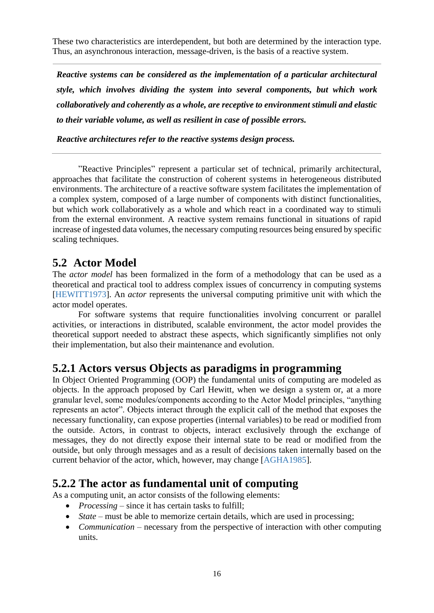These two characteristics are interdependent, but both are determined by the interaction type. Thus, an asynchronous interaction, message-driven, is the basis of a reactive system.

*Reactive systems can be considered as the implementation of a particular architectural style, which involves dividing the system into several components, but which work collaboratively and coherently as a whole, are receptive to environment stimuli and elastic to their variable volume, as well as resilient in case of possible errors.*

*Reactive architectures refer to the reactive systems design process.*

"Reactive Principles" represent a particular set of technical, primarily architectural, approaches that facilitate the construction of coherent systems in heterogeneous distributed environments. The architecture of a reactive software system facilitates the implementation of a complex system, composed of a large number of components with distinct functionalities, but which work collaboratively as a whole and which react in a coordinated way to stimuli from the external environment. A reactive system remains functional in situations of rapid increase of ingested data volumes, the necessary computing resources being ensured by specific scaling techniques.

## <span id="page-17-0"></span>**5.2 Actor Model**

The *actor model* has been formalized in the form of a methodology that can be used as a theoretical and practical tool to address complex issues of concurrency in computing systems [HEWITT1973]. An *actor* represents the universal computing primitive unit with which the actor model operates.

For software systems that require functionalities involving concurrent or parallel activities, or interactions in distributed, scalable environment, the actor model provides the theoretical support needed to abstract these aspects, which significantly simplifies not only their implementation, but also their maintenance and evolution.

### <span id="page-17-1"></span>**5.2.1 Actors versus Objects as paradigms in programming**

In Object Oriented Programming (OOP) the fundamental units of computing are modeled as objects. In the approach proposed by Carl Hewitt, when we design a system or, at a more granular level, some modules/components according to the Actor Model principles, "anything represents an actor". Objects interact through the explicit call of the method that exposes the necessary functionality, can expose properties (internal variables) to be read or modified from the outside. Actors, in contrast to objects, interact exclusively through the exchange of messages, they do not directly expose their internal state to be read or modified from the outside, but only through messages and as a result of decisions taken internally based on the current behavior of the actor, which, however, may change [AGHA1985].

### <span id="page-17-2"></span>**5.2.2 The actor as fundamental unit of computing**

As a computing unit, an actor consists of the following elements:

- *Processing* since it has certain tasks to fulfill;
- *State* must be able to memorize certain details, which are used in processing;
- *Communication* necessary from the perspective of interaction with other computing units.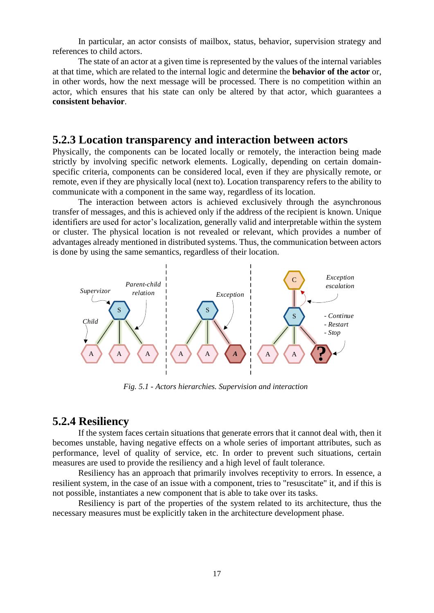In particular, an actor consists of mailbox, status, behavior, supervision strategy and references to child actors.

The state of an actor at a given time is represented by the values of the internal variables at that time, which are related to the internal logic and determine the **behavior of the actor** or, in other words, how the next message will be processed. There is no competition within an actor, which ensures that his state can only be altered by that actor, which guarantees a **consistent behavior**.

#### <span id="page-18-0"></span>**5.2.3 Location transparency and interaction between actors**

Physically, the components can be located locally or remotely, the interaction being made strictly by involving specific network elements. Logically, depending on certain domainspecific criteria, components can be considered local, even if they are physically remote, or remote, even if they are physically local (next to). Location transparency refers to the ability to communicate with a component in the same way, regardless of its location.

The interaction between actors is achieved exclusively through the asynchronous transfer of messages, and this is achieved only if the address of the recipient is known. Unique identifiers are used for actor's localization, generally valid and interpretable within the system or cluster. The physical location is not revealed or relevant, which provides a number of advantages already mentioned in distributed systems. Thus, the communication between actors is done by using the same semantics, regardless of their location.



*Fig. 5.1 - Actors hierarchies. Supervision and interaction*

#### <span id="page-18-1"></span>**5.2.4 Resiliency**

If the system faces certain situations that generate errors that it cannot deal with, then it becomes unstable, having negative effects on a whole series of important attributes, such as performance, level of quality of service, etc. In order to prevent such situations, certain measures are used to provide the resiliency and a high level of fault tolerance.

Resiliency has an approach that primarily involves receptivity to errors. In essence, a resilient system, in the case of an issue with a component, tries to "resuscitate" it, and if this is not possible, instantiates a new component that is able to take over its tasks.

Resiliency is part of the properties of the system related to its architecture, thus the necessary measures must be explicitly taken in the architecture development phase.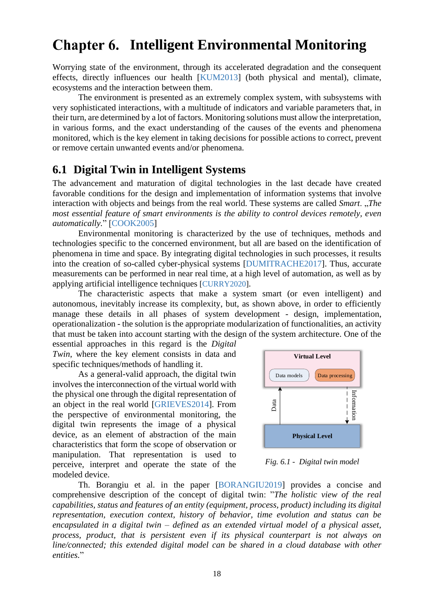## <span id="page-19-1"></span>**Chapter 6. Intelligent Environmental Monitoring**

Worrying state of the environment, through its accelerated degradation and the consequent effects, directly influences our health [KUM2013] (both physical and mental), climate, ecosystems and the interaction between them.

The environment is presented as an extremely complex system, with subsystems with very sophisticated interactions, with a multitude of indicators and variable parameters that, in their turn, are determined by a lot of factors. Monitoring solutions must allow the interpretation, in various forms, and the exact understanding of the causes of the events and phenomena monitored, which is the key element in taking decisions for possible actions to correct, prevent or remove certain unwanted events and/or phenomena.

#### <span id="page-19-0"></span>**6.1 Digital Twin in Intelligent Systems**

The advancement and maturation of digital technologies in the last decade have created favorable conditions for the design and implementation of information systems that involve interaction with objects and beings from the real world. These systems are called *Smart*. "*The most essential feature of smart environments is the ability to control devices remotely, even automatically.*" [COOK2005]

Environmental monitoring is characterized by the use of techniques, methods and technologies specific to the concerned environment, but all are based on the identification of phenomena in time and space. By integrating digital technologies in such processes, it results into the creation of so-called cyber-physical systems [DUMITRACHE2017]. Thus, accurate measurements can be performed in near real time, at a high level of automation, as well as by applying artificial intelligence techniques [CURRY2020].

The characteristic aspects that make a system smart (or even intelligent) and autonomous, inevitably increase its complexity, but, as shown above, in order to efficiently manage these details in all phases of system development - design, implementation, operationalization - the solution is the appropriate modularization of functionalities, an activity that must be taken into account starting with the design of the system architecture. One of the

essential approaches in this regard is the *Digital Twin*, where the key element consists in data and specific techniques/methods of handling it.

As a general-valid approach, the digital twin involves the interconnection of the virtual world with the physical one through the digital representation of an object in the real world [GRIEVES2014]. From the perspective of environmental monitoring, the digital twin represents the image of a physical device, as an element of abstraction of the main characteristics that form the scope of observation or manipulation. That representation is used to perceive, interpret and operate the state of the modeled device.



*Fig. 6.1 - Digital twin model*

Th. Borangiu et al. in the paper [BORANGIU2019] provides a concise and comprehensive description of the concept of digital twin: "*The holistic view of the real capabilities, status and features of an entity (equipment, process, product) including its digital representation, execution context, history of behavior, time evolution and status can be encapsulated in a digital twin – defined as an extended virtual model of a physical asset, process, product, that is persistent even if its physical counterpart is not always on line/connected; this extended digital model can be shared in a cloud database with other entities.*"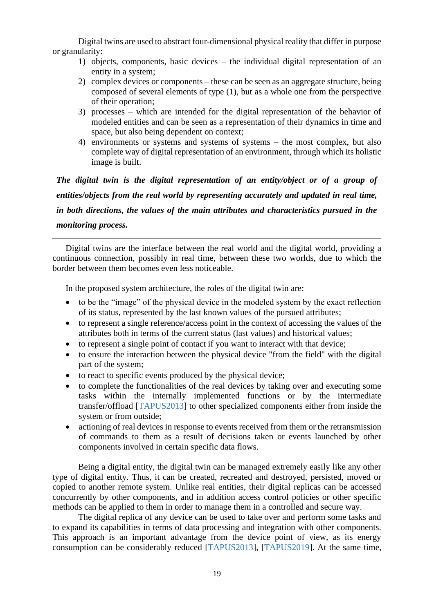Digital twins are used to abstract four-dimensional physical reality that differ in purpose or granularity:

- 1) objects, components, basic devices the individual digital representation of an entity in a system;
- 2) complex devices or components these can be seen as an aggregate structure, being composed of several elements of type (1), but as a whole one from the perspective of their operation;
- 3) processes which are intended for the digital representation of the behavior of modeled entities and can be seen as a representation of their dynamics in time and space, but also being dependent on context;
- 4) environments or systems and systems of systems the most complex, but also complete way of digital representation of an environment, through which its holistic image is built.

*The digital twin is the digital representation of an entity/object or of a group of entities/objects from the real world by representing accurately and updated in real time, in both directions, the values of the main attributes and characteristics pursued in the monitoring process.*

Digital twins are the interface between the real world and the digital world, providing a continuous connection, possibly in real time, between these two worlds, due to which the border between them becomes even less noticeable.

In the proposed system architecture, the roles of the digital twin are:

- to be the "image" of the physical device in the modeled system by the exact reflection of its status, represented by the last known values of the pursued attributes;
- to represent a single reference/access point in the context of accessing the values of the attributes both in terms of the current status (last values) and historical values;
- to represent a single point of contact if you want to interact with that device;
- to ensure the interaction between the physical device "from the field" with the digital part of the system;
- to react to specific events produced by the physical device;
- to complete the functionalities of the real devices by taking over and executing some tasks within the internally implemented functions or by the intermediate transfer/offload [TAPUS2013] to other specialized components either from inside the system or from outside;
- actioning of real devices in response to events received from them or the retransmission of commands to them as a result of decisions taken or events launched by other components involved in certain specific data flows.

Being a digital entity, the digital twin can be managed extremely easily like any other type of digital entity. Thus, it can be created, recreated and destroyed, persisted, moved or copied to another remote system. Unlike real entities, their digital replicas can be accessed concurrently by other components, and in addition access control policies or other specific methods can be applied to them in order to manage them in a controlled and secure way.

The digital replica of any device can be used to take over and perform some tasks and to expand its capabilities in terms of data processing and integration with other components. This approach is an important advantage from the device point of view, as its energy consumption can be considerably reduced [TAPUS2013], [TAPUS2019]. At the same time,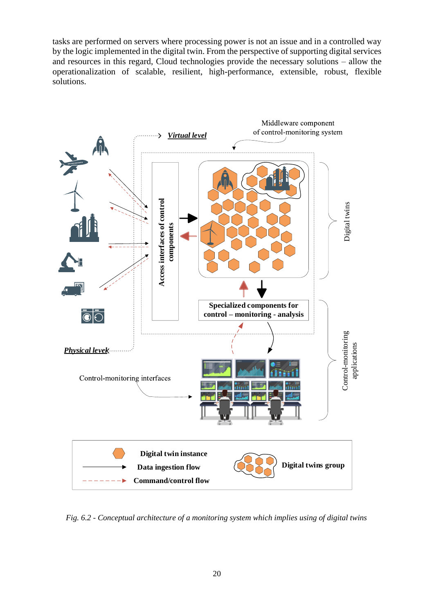tasks are performed on servers where processing power is not an issue and in a controlled way by the logic implemented in the digital twin. From the perspective of supporting digital services and resources in this regard, Cloud technologies provide the necessary solutions – allow the operationalization of scalable, resilient, high-performance, extensible, robust, flexible solutions.



*Fig. 6.2 - Conceptual architecture of a monitoring system which implies using of digital twins*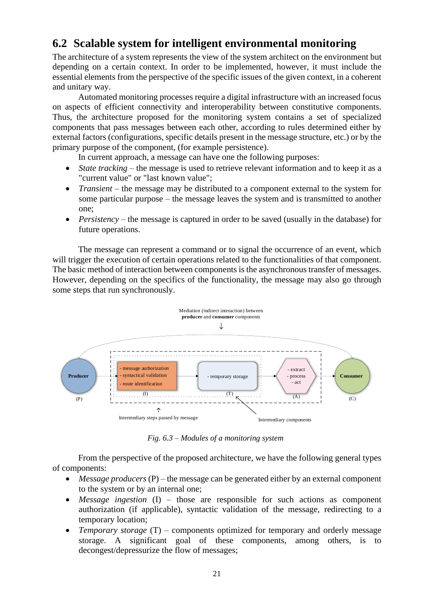## <span id="page-22-0"></span>**6.2 Scalable system for intelligent environmental monitoring**

The architecture of a system represents the view of the system architect on the environment but depending on a certain context. In order to be implemented, however, it must include the essential elements from the perspective of the specific issues of the given context, in a coherent and unitary way.

Automated monitoring processes require a digital infrastructure with an increased focus on aspects of efficient connectivity and interoperability between constitutive components. Thus, the architecture proposed for the monitoring system contains a set of specialized components that pass messages between each other, according to rules determined either by external factors (configurations, specific details present in the message structure, etc.) or by the primary purpose of the component, (for example persistence).

In current approach, a message can have one the following purposes:

- *State tracking* the message is used to retrieve relevant information and to keep it as a "current value" or "last known value";
- *Transient* the message may be distributed to a component external to the system for some particular purpose – the message leaves the system and is transmitted to another one;
- *Persistency* the message is captured in order to be saved (usually in the database) for future operations.

The message can represent a command or to signal the occurrence of an event, which will trigger the execution of certain operations related to the functionalities of that component. The basic method of interaction between components is the asynchronous transfer of messages. However, depending on the specifics of the functionality, the message may also go through some steps that run synchronously.



*Fig. 6.3 – Modules of a monitoring system*

From the perspective of the proposed architecture, we have the following general types of components:

- *Message producers* (P) the message can be generated either by an external component to the system or by an internal one;
- *Message ingestion* (I) those are responsible for such actions as component authorization (if applicable), syntactic validation of the message, redirecting to a temporary location;
- *Temporary storage* (T) components optimized for temporary and orderly message storage. A significant goal of these components, among others, is to decongest/depressurize the flow of messages;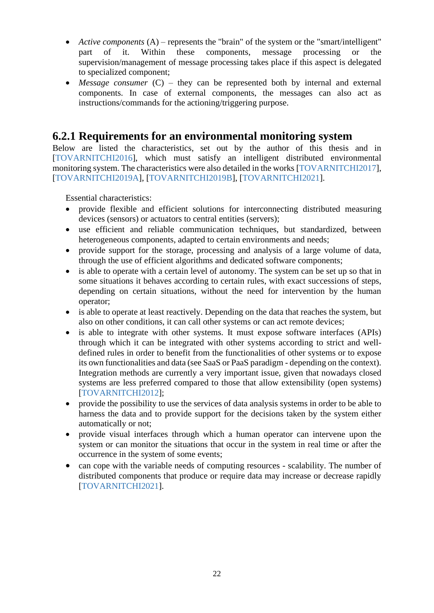- *Active components* (A) represents the "brain" of the system or the "smart/intelligent" part of it. Within these components, message processing or the supervision/management of message processing takes place if this aspect is delegated to specialized component;
- *Message consumer* (C) they can be represented both by internal and external components. In case of external components, the messages can also act as instructions/commands for the actioning/triggering purpose.

#### <span id="page-23-0"></span>**6.2.1 Requirements for an environmental monitoring system**

Below are listed the characteristics, set out by the author of this thesis and in [TOVARNITCHI2016], which must satisfy an intelligent distributed environmental monitoring system. The characteristics were also detailed in the works [TOVARNITCHI2017], [TOVARNITCHI2019A], [TOVARNITCHI2019B], [TOVARNITCHI2021].

Essential characteristics:

- provide flexible and efficient solutions for interconnecting distributed measuring devices (sensors) or actuators to central entities (servers);
- use efficient and reliable communication techniques, but standardized, between heterogeneous components, adapted to certain environments and needs;
- provide support for the storage, processing and analysis of a large volume of data, through the use of efficient algorithms and dedicated software components;
- is able to operate with a certain level of autonomy. The system can be set up so that in some situations it behaves according to certain rules, with exact successions of steps, depending on certain situations, without the need for intervention by the human operator;
- is able to operate at least reactively. Depending on the data that reaches the system, but also on other conditions, it can call other systems or can act remote devices;
- is able to integrate with other systems. It must expose software interfaces (APIs) through which it can be integrated with other systems according to strict and welldefined rules in order to benefit from the functionalities of other systems or to expose its own functionalities and data (see SaaS or PaaS paradigm - depending on the context). Integration methods are currently a very important issue, given that nowadays closed systems are less preferred compared to those that allow extensibility (open systems) [TOVARNITCHI2012];
- provide the possibility to use the services of data analysis systems in order to be able to harness the data and to provide support for the decisions taken by the system either automatically or not;
- provide visual interfaces through which a human operator can intervene upon the system or can monitor the situations that occur in the system in real time or after the occurrence in the system of some events;
- can cope with the variable needs of computing resources scalability. The number of distributed components that produce or require data may increase or decrease rapidly [TOVARNITCHI2021].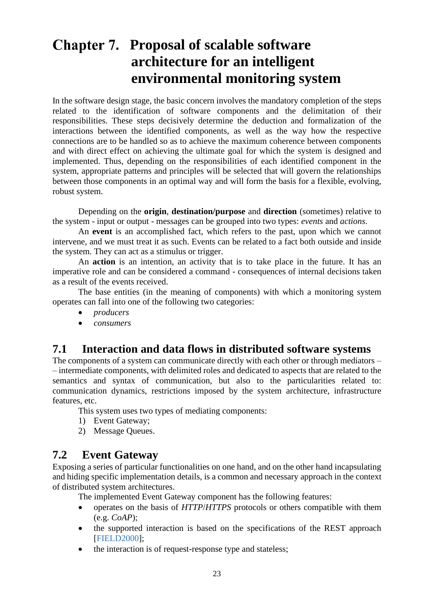## <span id="page-24-2"></span>**Chapter 7. Proposal of scalable software architecture for an intelligent environmental monitoring system**

In the software design stage, the basic concern involves the mandatory completion of the steps related to the identification of software components and the delimitation of their responsibilities. These steps decisively determine the deduction and formalization of the interactions between the identified components, as well as the way how the respective connections are to be handled so as to achieve the maximum coherence between components and with direct effect on achieving the ultimate goal for which the system is designed and implemented. Thus, depending on the responsibilities of each identified component in the system, appropriate patterns and principles will be selected that will govern the relationships between those components in an optimal way and will form the basis for a flexible, evolving, robust system.

Depending on the **origin**, **destination/purpose** and **direction** (sometimes) relative to the system - input or output - messages can be grouped into two types: *events* and *actions*.

An **event** is an accomplished fact, which refers to the past, upon which we cannot intervene, and we must treat it as such. Events can be related to a fact both outside and inside the system. They can act as a stimulus or trigger.

An **action** is an intention, an activity that is to take place in the future. It has an imperative role and can be considered a command - consequences of internal decisions taken as a result of the events received.

The base entities (in the meaning of components) with which a monitoring system operates can fall into one of the following two categories:

- *producers*
- <span id="page-24-0"></span>• *consumers*

### **7.1 Interaction and data flows in distributed software systems**

The components of a system can communicate directly with each other or through mediators – – intermediate components, with delimited roles and dedicated to aspects that are related to the semantics and syntax of communication, but also to the particularities related to: communication dynamics, restrictions imposed by the system architecture, infrastructure features, etc.

This system uses two types of mediating components:

- 1) Event Gateway;
- <span id="page-24-1"></span>2) Message Queues.

#### **7.2 Event Gateway**

Exposing a series of particular functionalities on one hand, and on the other hand incapsulating and hiding specific implementation details, is a common and necessary approach in the context of distributed system architectures.

The implemented Event Gateway component has the following features:

- operates on the basis of *HTTP*/*HTTPS* protocols or others compatible with them (e.g. *CoAP*);
- the supported interaction is based on the specifications of the REST approach [FIELD2000];
- the interaction is of request-response type and stateless;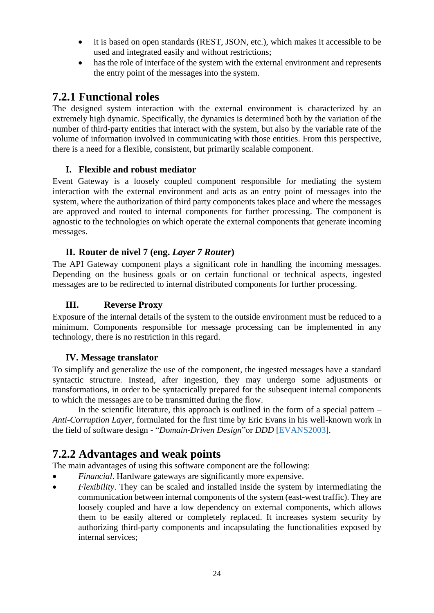- it is based on open standards (REST, JSON, etc.), which makes it accessible to be used and integrated easily and without restrictions;
- has the role of interface of the system with the external environment and represents the entry point of the messages into the system.

## <span id="page-25-0"></span>**7.2.1 Functional roles**

The designed system interaction with the external environment is characterized by an extremely high dynamic. Specifically, the dynamics is determined both by the variation of the number of third-party entities that interact with the system, but also by the variable rate of the volume of information involved in communicating with those entities. From this perspective, there is a need for a flexible, consistent, but primarily scalable component.

#### **I. Flexible and robust mediator**

Event Gateway is a loosely coupled component responsible for mediating the system interaction with the external environment and acts as an entry point of messages into the system, where the authorization of third party components takes place and where the messages are approved and routed to internal components for further processing. The component is agnostic to the technologies on which operate the external components that generate incoming messages.

#### **II. Router de nivel 7 (eng.** *Layer 7 Router***)**

The API Gateway component plays a significant role in handling the incoming messages. Depending on the business goals or on certain functional or technical aspects, ingested messages are to be redirected to internal distributed components for further processing.

#### **III. Reverse Proxy**

Exposure of the internal details of the system to the outside environment must be reduced to a minimum. Components responsible for message processing can be implemented in any technology, there is no restriction in this regard.

#### **IV. Message translator**

To simplify and generalize the use of the component, the ingested messages have a standard syntactic structure. Instead, after ingestion, they may undergo some adjustments or transformations, in order to be syntactically prepared for the subsequent internal components to which the messages are to be transmitted during the flow.

In the scientific literature, this approach is outlined in the form of a special pattern  $-$ *Anti-Corruption Layer*, formulated for the first time by Eric Evans in his well-known work in the field of software design - "*Domain-Driven Design*"or *DDD* [EVANS2003].

## <span id="page-25-1"></span>**7.2.2 Advantages and weak points**

The main advantages of using this software component are the following:

- *Financial*. Hardware gateways are significantly more expensive.
- *Flexibility*. They can be scaled and installed inside the system by intermediating the communication between internal components of the system (east-west traffic). They are loosely coupled and have a low dependency on external components, which allows them to be easily altered or completely replaced. It increases system security by authorizing third-party components and incapsulating the functionalities exposed by internal services;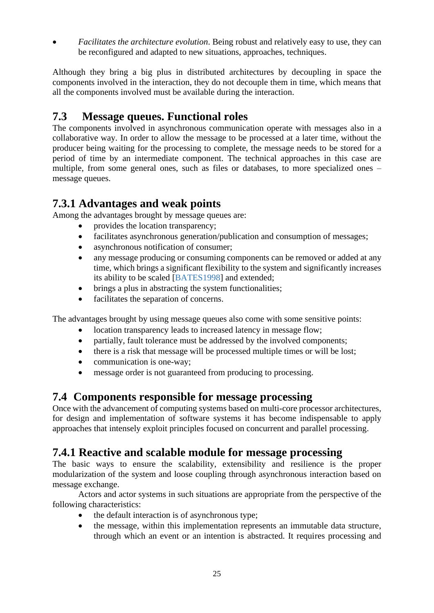• *Facilitates the architecture evolution*. Being robust and relatively easy to use, they can be reconfigured and adapted to new situations, approaches, techniques.

Although they bring a big plus in distributed architectures by decoupling in space the components involved in the interaction, they do not decouple them in time, which means that all the components involved must be available during the interaction.

## <span id="page-26-0"></span>**7.3 Message queues. Functional roles**

The components involved in asynchronous communication operate with messages also in a collaborative way. In order to allow the message to be processed at a later time, without the producer being waiting for the processing to complete, the message needs to be stored for a period of time by an intermediate component. The technical approaches in this case are multiple, from some general ones, such as files or databases, to more specialized ones – message queues.

### <span id="page-26-1"></span>**7.3.1 Advantages and weak points**

Among the advantages brought by message queues are:

- provides the location transparency;
- facilitates asynchronous generation/publication and consumption of messages;
- asynchronous notification of consumer;
- any message producing or consuming components can be removed or added at any time, which brings a significant flexibility to the system and significantly increases its ability to be scaled [BATES1998] and extended;
- brings a plus in abstracting the system functionalities;
- facilitates the separation of concerns.

The advantages brought by using message queues also come with some sensitive points:

- location transparency leads to increased latency in message flow;
- partially, fault tolerance must be addressed by the involved components;
- there is a risk that message will be processed multiple times or will be lost;
- communication is one-way;
- message order is not guaranteed from producing to processing.

#### <span id="page-26-2"></span>**7.4 Components responsible for message processing**

Once with the advancement of computing systems based on multi-core processor architectures, for design and implementation of software systems it has become indispensable to apply approaches that intensely exploit principles focused on concurrent and parallel processing.

### <span id="page-26-3"></span>**7.4.1 Reactive and scalable module for message processing**

The basic ways to ensure the scalability, extensibility and resilience is the proper modularization of the system and loose coupling through asynchronous interaction based on message exchange.

Actors and actor systems in such situations are appropriate from the perspective of the following characteristics:

- the default interaction is of asynchronous type;
- the message, within this implementation represents an immutable data structure, through which an event or an intention is abstracted. It requires processing and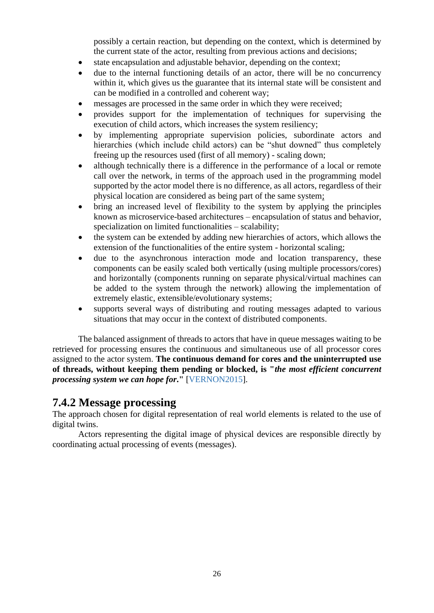possibly a certain reaction, but depending on the context, which is determined by the current state of the actor, resulting from previous actions and decisions;

- state encapsulation and adjustable behavior, depending on the context;
- due to the internal functioning details of an actor, there will be no concurrency within it, which gives us the guarantee that its internal state will be consistent and can be modified in a controlled and coherent way;
- messages are processed in the same order in which they were received;
- provides support for the implementation of techniques for supervising the execution of child actors, which increases the system resiliency;
- by implementing appropriate supervision policies, subordinate actors and hierarchies (which include child actors) can be "shut downed" thus completely freeing up the resources used (first of all memory) - scaling down;
- although technically there is a difference in the performance of a local or remote call over the network, in terms of the approach used in the programming model supported by the actor model there is no difference, as all actors, regardless of their physical location are considered as being part of the same system;
- bring an increased level of flexibility to the system by applying the principles known as microservice-based architectures – encapsulation of status and behavior, specialization on limited functionalities – scalability;
- the system can be extended by adding new hierarchies of actors, which allows the extension of the functionalities of the entire system - horizontal scaling;
- due to the asynchronous interaction mode and location transparency, these components can be easily scaled both vertically (using multiple processors/cores) and horizontally (components running on separate physical/virtual machines can be added to the system through the network) allowing the implementation of extremely elastic, extensible/evolutionary systems;
- supports several ways of distributing and routing messages adapted to various situations that may occur in the context of distributed components.

The balanced assignment of threads to actors that have in queue messages waiting to be retrieved for processing ensures the continuous and simultaneous use of all processor cores assigned to the actor system. **The continuous demand for cores and the uninterrupted use of threads, without keeping them pending or blocked, is "***the most efficient concurrent processing system we can hope for***."** [VERNON2015].

#### <span id="page-27-0"></span>**7.4.2 Message processing**

The approach chosen for digital representation of real world elements is related to the use of digital twins.

Actors representing the digital image of physical devices are responsible directly by coordinating actual processing of events (messages).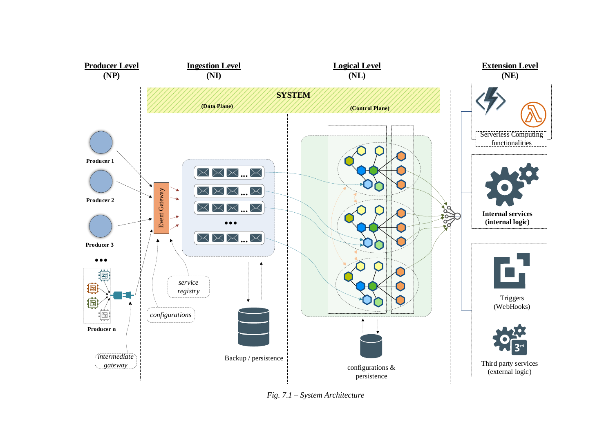

27 *Fig. 7.1 – System Architecture*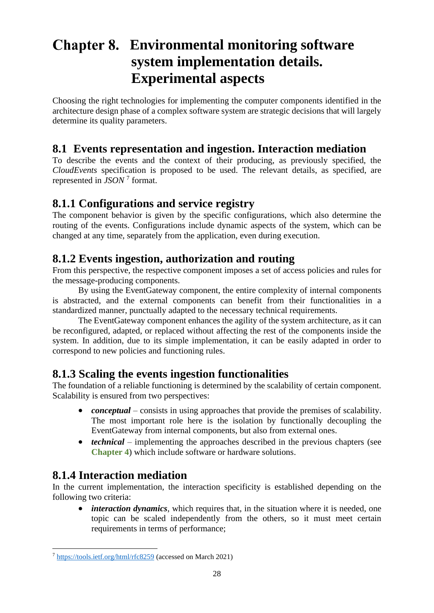## <span id="page-29-5"></span>**Environmental monitoring software system implementation details. Experimental aspects**

Choosing the right technologies for implementing the computer components identified in the architecture design phase of a complex software system are strategic decisions that will largely determine its quality parameters.

## <span id="page-29-0"></span>**8.1 Events representation and ingestion. Interaction mediation**

To describe the events and the context of their producing, as previously specified, the *CloudEvents* specification is proposed to be used. The relevant details, as specified, are represented in *JSON* <sup>7</sup> format.

#### <span id="page-29-1"></span>**8.1.1 Configurations and service registry**

The component behavior is given by the specific configurations, which also determine the routing of the events. Configurations include dynamic aspects of the system, which can be changed at any time, separately from the application, even during execution.

#### <span id="page-29-2"></span>**8.1.2 Events ingestion, authorization and routing**

From this perspective, the respective component imposes a set of access policies and rules for the message-producing components.

By using the EventGateway component, the entire complexity of internal components is abstracted, and the external components can benefit from their functionalities in a standardized manner, punctually adapted to the necessary technical requirements.

The EventGateway component enhances the agility of the system architecture, as it can be reconfigured, adapted, or replaced without affecting the rest of the components inside the system. In addition, due to its simple implementation, it can be easily adapted in order to correspond to new policies and functioning rules.

### <span id="page-29-3"></span>**8.1.3 Scaling the events ingestion functionalities**

The foundation of a reliable functioning is determined by the scalability of certain component. Scalability is ensured from two perspectives:

- *conceptual* consists in using approaches that provide the premises of scalability. The most important role here is the isolation by functionally decoupling the EventGateway from internal components, but also from external ones.
- *technical* implementing the approaches described in the previous chapters (see **[Chapter 4](#page-10-2)**) which include software or hardware solutions.

### <span id="page-29-4"></span>**8.1.4 Interaction mediation**

In the current implementation, the interaction specificity is established depending on the following two criteria:

• *interaction dynamics*, which requires that, in the situation where it is needed, one topic can be scaled independently from the others, so it must meet certain requirements in terms of performance;

<sup>7</sup> <https://tools.ietf.org/html/rfc8259> (accessed on March 2021)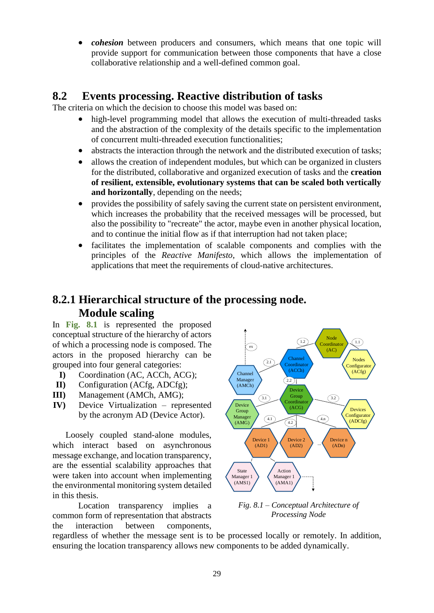• *cohesion* between producers and consumers, which means that one topic will provide support for communication between those components that have a close collaborative relationship and a well-defined common goal.

#### **8.2 Events processing. Reactive distribution of tasks**

The criteria on which the decision to choose this model was based on:

- <span id="page-30-0"></span>• high-level programming model that allows the execution of multi-threaded tasks and the abstraction of the complexity of the details specific to the implementation of concurrent multi-threaded execution functionalities;
- abstracts the interaction through the network and the distributed execution of tasks:
- allows the creation of independent modules, but which can be organized in clusters for the distributed, collaborative and organized execution of tasks and the **creation of resilient, extensible, evolutionary systems that can be scaled both vertically and horizontally**, depending on the needs;
- provides the possibility of safely saving the current state on persistent environment, which increases the probability that the received messages will be processed, but also the possibility to "recreate" the actor, maybe even in another physical location, and to continue the initial flow as if that interruption had not taken place;
- facilitates the implementation of scalable components and complies with the principles of the *Reactive Manifesto*, which allows the implementation of applications that meet the requirements of cloud-native architectures.

### <span id="page-30-1"></span>**8.2.1 Hierarchical structure of the processing node. Module scaling**

In **[Fig. 8.1](#page-30-2)** is represented the proposed conceptual structure of the hierarchy of actors of which a processing node is composed. The actors in the proposed hierarchy can be grouped into four general categories:

- **I)** Coordination (AC, ACCh, ACG);
- **II)** Configuration (ACfg, ADCfg);
- **III)** Management (AMCh, AMG);
- **IV)** Device Virtualization represented by the acronym AD (Device Actor).

Loosely coupled stand-alone modules, which interact based on asynchronous message exchange, and location transparency, are the essential scalability approaches that were taken into account when implementing the environmental monitoring system detailed in this thesis.

Location transparency implies a common form of representation that abstracts the interaction between components,



<span id="page-30-2"></span>*Fig. 8.1 – Conceptual Architecture of Processing Node*

regardless of whether the message sent is to be processed locally or remotely. In addition, ensuring the location transparency allows new components to be added dynamically.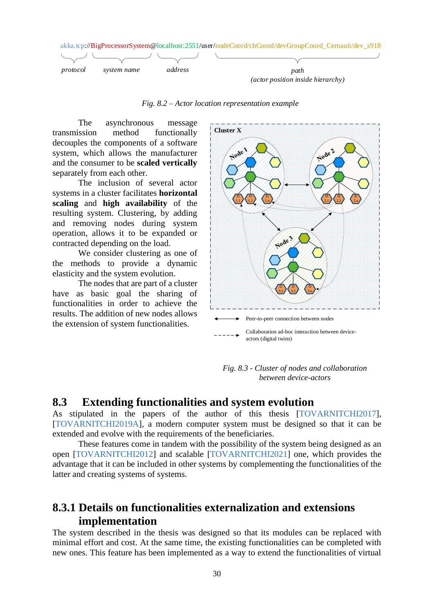

*Fig. 8.2 – Actor location representation example*

The asynchronous message transmission method functionally decouples the components of a software system, which allows the manufacturer and the consumer to be **scaled vertically** separately from each other.

The inclusion of several actor systems in a cluster facilitates **horizontal scaling** and **high availability** of the resulting system. Clustering, by adding and removing nodes during system operation, allows it to be expanded or contracted depending on the load.

We consider clustering as one of the methods to provide a dynamic elasticity and the system evolution.

The nodes that are part of a cluster have as basic goal the sharing of functionalities in order to achieve the results. The addition of new nodes allows the extension of system functionalities.



*Fig. 8.3 - Cluster of nodes and collaboration between device-actors*

#### <span id="page-31-0"></span>**8.3 Extending functionalities and system evolution**

As stipulated in the papers of the author of this thesis [TOVARNITCHI2017], [TOVARNITCHI2019A], a modern computer system must be designed so that it can be extended and evolve with the requirements of the beneficiaries.

These features come in tandem with the possibility of the system being designed as an open [TOVARNITCHI2012] and scalable [TOVARNITCHI2021] one, which provides the advantage that it can be included in other systems by complementing the functionalities of the latter and creating systems of systems.

#### <span id="page-31-1"></span>**8.3.1 Details on functionalities externalization and extensions implementation**

The system described in the thesis was designed so that its modules can be replaced with minimal effort and cost. At the same time, the existing functionalities can be completed with new ones. This feature has been implemented as a way to extend the functionalities of virtual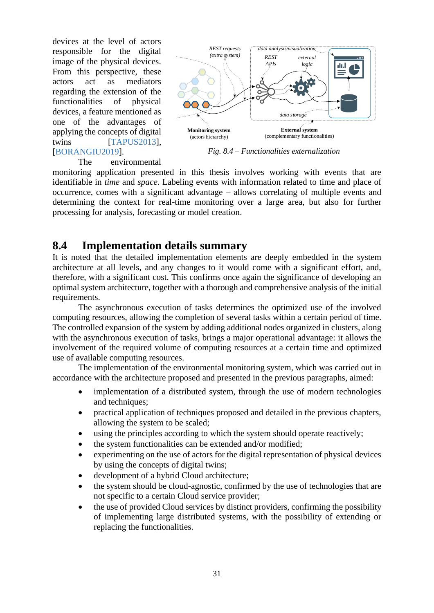devices at the level of actors responsible for the digital image of the physical devices. From this perspective, these actors act as mediators regarding the extension of the functionalities of physical devices, a feature mentioned as one of the advantages of applying the concepts of digital twins [TAPUS2013], [BORANGIU2019].



*Fig. 8.4 – Functionalities externalization*

The environmental

monitoring application presented in this thesis involves working with events that are identifiable in *time* and *space*. Labeling events with information related to time and place of occurrence, comes with a significant advantage – allows correlating of multiple events and determining the context for real-time monitoring over a large area, but also for further processing for analysis, forecasting or model creation.

#### <span id="page-32-0"></span>**8.4 Implementation details summary**

It is noted that the detailed implementation elements are deeply embedded in the system architecture at all levels, and any changes to it would come with a significant effort, and, therefore, with a significant cost. This confirms once again the significance of developing an optimal system architecture, together with a thorough and comprehensive analysis of the initial requirements.

The asynchronous execution of tasks determines the optimized use of the involved computing resources, allowing the completion of several tasks within a certain period of time. The controlled expansion of the system by adding additional nodes organized in clusters, along with the asynchronous execution of tasks, brings a major operational advantage: it allows the involvement of the required volume of computing resources at a certain time and optimized use of available computing resources.

The implementation of the environmental monitoring system, which was carried out in accordance with the architecture proposed and presented in the previous paragraphs, aimed:

- implementation of a distributed system, through the use of modern technologies and techniques;
- practical application of techniques proposed and detailed in the previous chapters, allowing the system to be scaled;
- using the principles according to which the system should operate reactively;
- the system functionalities can be extended and/or modified;
- experimenting on the use of actors for the digital representation of physical devices by using the concepts of digital twins;
- development of a hybrid Cloud architecture;
- the system should be cloud-agnostic, confirmed by the use of technologies that are not specific to a certain Cloud service provider;
- the use of provided Cloud services by distinct providers, confirming the possibility of implementing large distributed systems, with the possibility of extending or replacing the functionalities.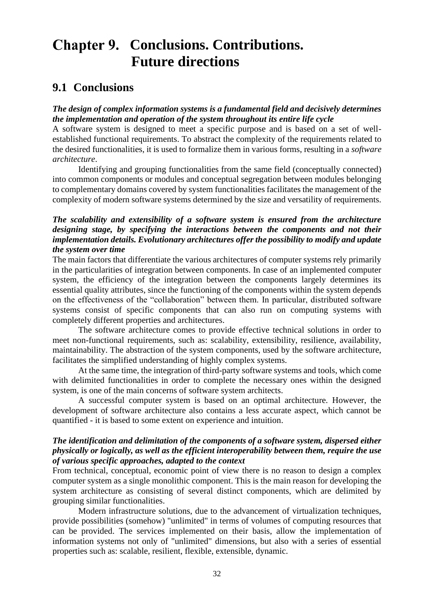## <span id="page-33-1"></span>**Chapter 9. Conclusions. Contributions. Future directions**

#### <span id="page-33-0"></span>**9.1 Conclusions**

#### *The design of complex information systems is a fundamental field and decisively determines the implementation and operation of the system throughout its entire life cycle*

A software system is designed to meet a specific purpose and is based on a set of wellestablished functional requirements. To abstract the complexity of the requirements related to the desired functionalities, it is used to formalize them in various forms, resulting in a *software architecture*.

Identifying and grouping functionalities from the same field (conceptually connected) into common components or modules and conceptual segregation between modules belonging to complementary domains covered by system functionalities facilitates the management of the complexity of modern software systems determined by the size and versatility of requirements.

#### *The scalability and extensibility of a software system is ensured from the architecture designing stage, by specifying the interactions between the components and not their implementation details. Evolutionary architectures offer the possibility to modify and update the system over time*

The main factors that differentiate the various architectures of computer systems rely primarily in the particularities of integration between components. In case of an implemented computer system, the efficiency of the integration between the components largely determines its essential quality attributes, since the functioning of the components within the system depends on the effectiveness of the "collaboration" between them. In particular, distributed software systems consist of specific components that can also run on computing systems with completely different properties and architectures.

The software architecture comes to provide effective technical solutions in order to meet non-functional requirements, such as: scalability, extensibility, resilience, availability, maintainability. The abstraction of the system components, used by the software architecture, facilitates the simplified understanding of highly complex systems.

At the same time, the integration of third-party software systems and tools, which come with delimited functionalities in order to complete the necessary ones within the designed system, is one of the main concerns of software system architects.

A successful computer system is based on an optimal architecture. However, the development of software architecture also contains a less accurate aspect, which cannot be quantified - it is based to some extent on experience and intuition.

#### *The identification and delimitation of the components of a software system, dispersed either physically or logically, as well as the efficient interoperability between them, require the use of various specific approaches, adapted to the context*

From technical, conceptual, economic point of view there is no reason to design a complex computer system as a single monolithic component. This is the main reason for developing the system architecture as consisting of several distinct components, which are delimited by grouping similar functionalities.

Modern infrastructure solutions, due to the advancement of virtualization techniques, provide possibilities (somehow) "unlimited" in terms of volumes of computing resources that can be provided. The services implemented on their basis, allow the implementation of information systems not only of "unlimited" dimensions, but also with a series of essential properties such as: scalable, resilient, flexible, extensible, dynamic.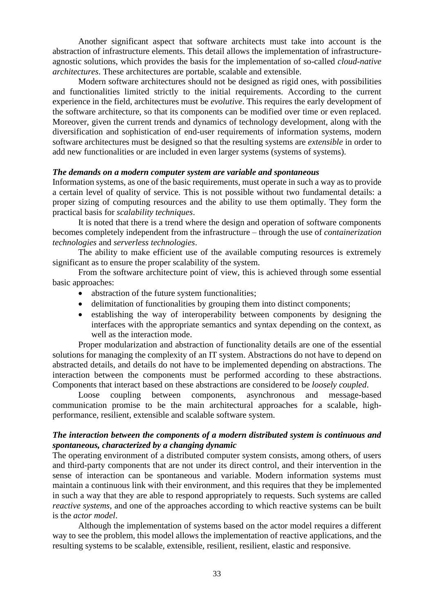Another significant aspect that software architects must take into account is the abstraction of infrastructure elements. This detail allows the implementation of infrastructureagnostic solutions, which provides the basis for the implementation of so-called *cloud-native architectures*. These architectures are portable, scalable and extensible.

Modern software architectures should not be designed as rigid ones, with possibilities and functionalities limited strictly to the initial requirements. According to the current experience in the field, architectures must be *evolutive*. This requires the early development of the software architecture, so that its components can be modified over time or even replaced. Moreover, given the current trends and dynamics of technology development, along with the diversification and sophistication of end-user requirements of information systems, modern software architectures must be designed so that the resulting systems are *extensible* in order to add new functionalities or are included in even larger systems (systems of systems).

#### *The demands on a modern computer system are variable and spontaneous*

Information systems, as one of the basic requirements, must operate in such a way as to provide a certain level of quality of service. This is not possible without two fundamental details: a proper sizing of computing resources and the ability to use them optimally. They form the practical basis for *scalability techniques*.

It is noted that there is a trend where the design and operation of software components becomes completely independent from the infrastructure – through the use of *containerization technologies* and *serverless technologies*.

The ability to make efficient use of the available computing resources is extremely significant as to ensure the proper scalability of the system.

From the software architecture point of view, this is achieved through some essential basic approaches:

- abstraction of the future system functionalities;
- delimitation of functionalities by grouping them into distinct components;
- establishing the way of interoperability between components by designing the interfaces with the appropriate semantics and syntax depending on the context, as well as the interaction mode.

Proper modularization and abstraction of functionality details are one of the essential solutions for managing the complexity of an IT system. Abstractions do not have to depend on abstracted details, and details do not have to be implemented depending on abstractions. The interaction between the components must be performed according to these abstractions. Components that interact based on these abstractions are considered to be *loosely coupled*.

Loose coupling between components, asynchronous and message-based communication promise to be the main architectural approaches for a scalable, highperformance, resilient, extensible and scalable software system.

#### *The interaction between the components of a modern distributed system is continuous and spontaneous, characterized by a changing dynamic*

The operating environment of a distributed computer system consists, among others, of users and third-party components that are not under its direct control, and their intervention in the sense of interaction can be spontaneous and variable. Modern information systems must maintain a continuous link with their environment, and this requires that they be implemented in such a way that they are able to respond appropriately to requests. Such systems are called *reactive systems*, and one of the approaches according to which reactive systems can be built is the *actor model*.

Although the implementation of systems based on the actor model requires a different way to see the problem, this model allows the implementation of reactive applications, and the resulting systems to be scalable, extensible, resilient, resilient, elastic and responsive.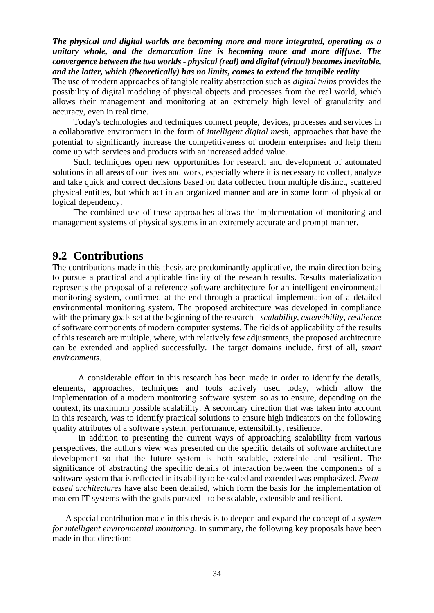*The physical and digital worlds are becoming more and more integrated, operating as a unitary whole, and the demarcation line is becoming more and more diffuse. The convergence between the two worlds - physical (real) and digital (virtual) becomes inevitable, and the latter, which (theoretically) has no limits, comes to extend the tangible reality*

The use of modern approaches of tangible reality abstraction such as *digital twins* provides the possibility of digital modeling of physical objects and processes from the real world, which allows their management and monitoring at an extremely high level of granularity and accuracy, even in real time.

Today's technologies and techniques connect people, devices, processes and services in a collaborative environment in the form of *intelligent digital mesh*, approaches that have the potential to significantly increase the competitiveness of modern enterprises and help them come up with services and products with an increased added value.

Such techniques open new opportunities for research and development of automated solutions in all areas of our lives and work, especially where it is necessary to collect, analyze and take quick and correct decisions based on data collected from multiple distinct, scattered physical entities, but which act in an organized manner and are in some form of physical or logical dependency.

The combined use of these approaches allows the implementation of monitoring and management systems of physical systems in an extremely accurate and prompt manner.

#### <span id="page-35-0"></span>**9.2 Contributions**

The contributions made in this thesis are predominantly applicative, the main direction being to pursue a practical and applicable finality of the research results. Results materialization represents the proposal of a reference software architecture for an intelligent environmental monitoring system, confirmed at the end through a practical implementation of a detailed environmental monitoring system. The proposed architecture was developed in compliance with the primary goals set at the beginning of the research - *scalability*, *extensibility*, *resilience* of software components of modern computer systems. The fields of applicability of the results of this research are multiple, where, with relatively few adjustments, the proposed architecture can be extended and applied successfully. The target domains include, first of all, *smart environments*.

A considerable effort in this research has been made in order to identify the details, elements, approaches, techniques and tools actively used today, which allow the implementation of a modern monitoring software system so as to ensure, depending on the context, its maximum possible scalability. A secondary direction that was taken into account in this research, was to identify practical solutions to ensure high indicators on the following quality attributes of a software system: performance, extensibility, resilience.

In addition to presenting the current ways of approaching scalability from various perspectives, the author's view was presented on the specific details of software architecture development so that the future system is both scalable, extensible and resilient. The significance of abstracting the specific details of interaction between the components of a software system that is reflected in its ability to be scaled and extended was emphasized. *Eventbased architectures* have also been detailed, which form the basis for the implementation of modern IT systems with the goals pursued - to be scalable, extensible and resilient.

A special contribution made in this thesis is to deepen and expand the concept of a *system for intelligent environmental monitoring*. In summary, the following key proposals have been made in that direction: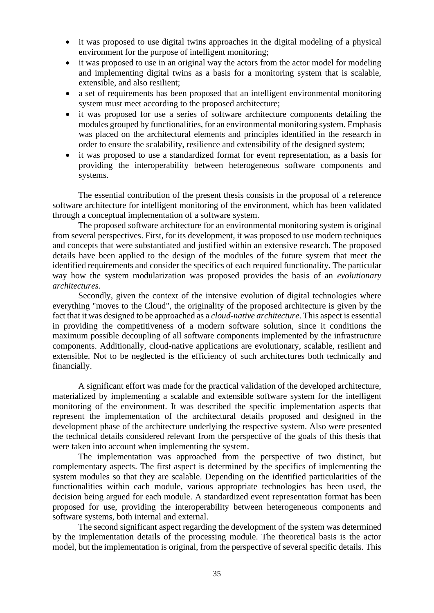- it was proposed to use digital twins approaches in the digital modeling of a physical environment for the purpose of intelligent monitoring;
- it was proposed to use in an original way the actors from the actor model for modeling and implementing digital twins as a basis for a monitoring system that is scalable, extensible, and also resilient;
- a set of requirements has been proposed that an intelligent environmental monitoring system must meet according to the proposed architecture;
- it was proposed for use a series of software architecture components detailing the modules grouped by functionalities, for an environmental monitoring system. Emphasis was placed on the architectural elements and principles identified in the research in order to ensure the scalability, resilience and extensibility of the designed system;
- it was proposed to use a standardized format for event representation, as a basis for providing the interoperability between heterogeneous software components and systems.

The essential contribution of the present thesis consists in the proposal of a reference software architecture for intelligent monitoring of the environment, which has been validated through a conceptual implementation of a software system.

The proposed software architecture for an environmental monitoring system is original from several perspectives. First, for its development, it was proposed to use modern techniques and concepts that were substantiated and justified within an extensive research. The proposed details have been applied to the design of the modules of the future system that meet the identified requirements and consider the specifics of each required functionality. The particular way how the system modularization was proposed provides the basis of an *evolutionary architectures*.

Secondly, given the context of the intensive evolution of digital technologies where everything "moves to the Cloud", the originality of the proposed architecture is given by the fact that it was designed to be approached as a *cloud-native architecture*. This aspect is essential in providing the competitiveness of a modern software solution, since it conditions the maximum possible decoupling of all software components implemented by the infrastructure components. Additionally, cloud-native applications are evolutionary, scalable, resilient and extensible. Not to be neglected is the efficiency of such architectures both technically and financially.

A significant effort was made for the practical validation of the developed architecture, materialized by implementing a scalable and extensible software system for the intelligent monitoring of the environment. It was described the specific implementation aspects that represent the implementation of the architectural details proposed and designed in the development phase of the architecture underlying the respective system. Also were presented the technical details considered relevant from the perspective of the goals of this thesis that were taken into account when implementing the system.

The implementation was approached from the perspective of two distinct, but complementary aspects. The first aspect is determined by the specifics of implementing the system modules so that they are scalable. Depending on the identified particularities of the functionalities within each module, various appropriate technologies has been used, the decision being argued for each module. A standardized event representation format has been proposed for use, providing the interoperability between heterogeneous components and software systems, both internal and external.

The second significant aspect regarding the development of the system was determined by the implementation details of the processing module. The theoretical basis is the actor model, but the implementation is original, from the perspective of several specific details. This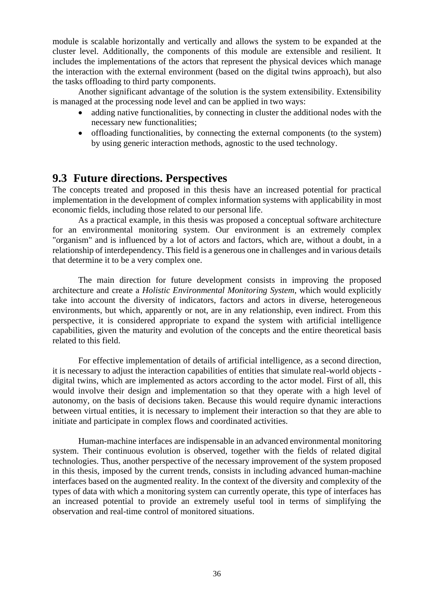module is scalable horizontally and vertically and allows the system to be expanded at the cluster level. Additionally, the components of this module are extensible and resilient. It includes the implementations of the actors that represent the physical devices which manage the interaction with the external environment (based on the digital twins approach), but also the tasks offloading to third party components.

Another significant advantage of the solution is the system extensibility. Extensibility is managed at the processing node level and can be applied in two ways:

- adding native functionalities, by connecting in cluster the additional nodes with the necessary new functionalities;
- offloading functionalities, by connecting the external components (to the system) by using generic interaction methods, agnostic to the used technology.

#### <span id="page-37-0"></span>**9.3 Future directions. Perspectives**

The concepts treated and proposed in this thesis have an increased potential for practical implementation in the development of complex information systems with applicability in most economic fields, including those related to our personal life.

As a practical example, in this thesis was proposed a conceptual software architecture for an environmental monitoring system. Our environment is an extremely complex "organism" and is influenced by a lot of actors and factors, which are, without a doubt, in a relationship of interdependency. This field is a generous one in challenges and in various details that determine it to be a very complex one.

The main direction for future development consists in improving the proposed architecture and create a *Holistic Environmental Monitoring System*, which would explicitly take into account the diversity of indicators, factors and actors in diverse, heterogeneous environments, but which, apparently or not, are in any relationship, even indirect. From this perspective, it is considered appropriate to expand the system with artificial intelligence capabilities, given the maturity and evolution of the concepts and the entire theoretical basis related to this field.

For effective implementation of details of artificial intelligence, as a second direction, it is necessary to adjust the interaction capabilities of entities that simulate real-world objects digital twins, which are implemented as actors according to the actor model. First of all, this would involve their design and implementation so that they operate with a high level of autonomy, on the basis of decisions taken. Because this would require dynamic interactions between virtual entities, it is necessary to implement their interaction so that they are able to initiate and participate in complex flows and coordinated activities.

Human-machine interfaces are indispensable in an advanced environmental monitoring system. Their continuous evolution is observed, together with the fields of related digital technologies. Thus, another perspective of the necessary improvement of the system proposed in this thesis, imposed by the current trends, consists in including advanced human-machine interfaces based on the augmented reality. In the context of the diversity and complexity of the types of data with which a monitoring system can currently operate, this type of interfaces has an increased potential to provide an extremely useful tool in terms of simplifying the observation and real-time control of monitored situations.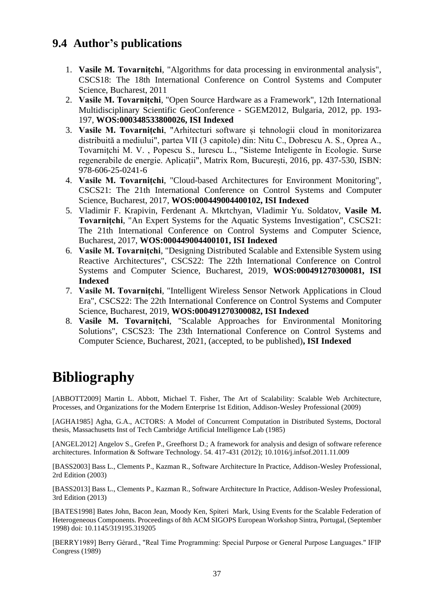## <span id="page-38-0"></span>**9.4 Author's publications**

- 1. **Vasile M. Tovarnițchi**, "Algorithms for data processing in environmental analysis", CSCS18: The 18th International Conference on Control Systems and Computer Science, Bucharest, 2011
- 2. **Vasile M. Tovarnițchi**, "Open Source Hardware as a Framework", 12th International Multidisciplinary Scientific GeoConference - SGEM2012, Bulgaria, 2012, pp. 193- 197, **WOS:000348533800026, ISI Indexed**
- 3. **Vasile M. Tovarnițchi**, "Arhitecturi software și tehnologii cloud în monitorizarea distribuită a mediului", partea VII (3 capitole) din: Nitu C., Dobrescu A. S., Oprea A., Tovarnițchi M. V. , Popescu S., Iurescu L., "Sisteme Inteligente în Ecologie. Surse regenerabile de energie. Aplicații", Matrix Rom, București, 2016, pp. 437-530, ISBN: 978-606-25-0241-6
- 4. **Vasile M. Tovarnițchi**, "Cloud-based Architectures for Environment Monitoring", CSCS21: The 21th International Conference on Control Systems and Computer Science, Bucharest, 2017, **WOS:000449004400102, ISI Indexed**
- 5. Vladimir F. Krapivin, Ferdenant A. Mkrtchyan, Vladimir Yu. Soldatov, **Vasile M. Tovarnițchi**, "An Expert Systems for the Aquatic Systems Investigation", CSCS21: The 21th International Conference on Control Systems and Computer Science, Bucharest, 2017, **WOS:000449004400101, ISI Indexed**
- 6. **Vasile M. Tovarnițchi**, "Designing Distributed Scalable and Extensible System using Reactive Architectures", CSCS22: The 22th International Conference on Control Systems and Computer Science, Bucharest, 2019, **WOS:000491270300081, ISI Indexed**
- 7. **Vasile M. Tovarnițchi**, "Intelligent Wireless Sensor Network Applications in Cloud Era", CSCS22: The 22th International Conference on Control Systems and Computer Science, Bucharest, 2019, **WOS:000491270300082, ISI Indexed**
- 8. **Vasile M. Tovarnițchi**, "Scalable Approaches for Environmental Monitoring Solutions", CSCS23: The 23th International Conference on Control Systems and Computer Science, Bucharest, 2021, (accepted, to be published)**, ISI Indexed**

## <span id="page-38-1"></span>**Bibliography**

[ABBOTT2009] Martin L. Abbott, Michael T. Fisher, The Art of Scalability: Scalable Web Architecture, Processes, and Organizations for the Modern Enterprise 1st Edition, Addison-Wesley Professional (2009)

[AGHA1985] Agha, G.A., ACTORS: A Model of Concurrent Computation in Distributed Systems, Doctoral thesis, Massachusetts Inst of Tech Cambridge Artificial Intelligence Lab (1985)

[ANGEL2012] Angelov S., Grefen P., Greefhorst D.; A framework for analysis and design of software reference architectures. Information & Software Technology. 54. 417-431 (2012); 10.1016/j.infsof.2011.11.009

[BASS2003] Bass L., Clements P., Kazman R., Software Architecture In Practice, Addison-Wesley Professional, 2rd Edition (2003)

[BASS2013] Bass L., Clements P., Kazman R., Software Architecture In Practice, Addison-Wesley Professional, 3rd Edition (2013)

[BATES1998] Bates John, Bacon Jean, Moody Ken, Spiteri Mark, Using Events for the Scalable Federation of Heterogeneous Components. Proceedings of 8th ACM SIGOPS European Workshop Sintra, Portugal, (September 1998) doi: 10.1145/319195.319205

[BERRY1989] Berry Gérard., "Real Time Programming: Special Purpose or General Purpose Languages." IFIP Congress (1989)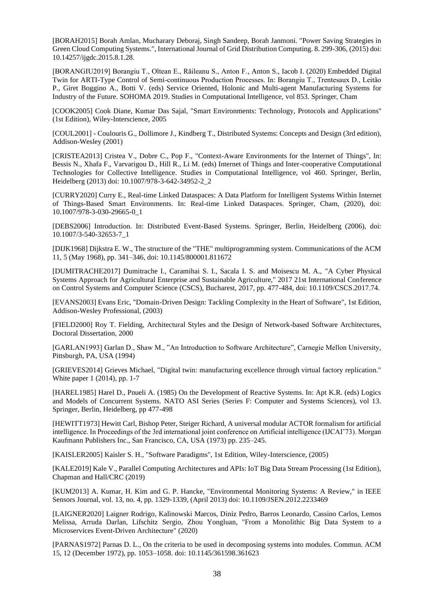[BORAH2015] Borah Amlan, Mucharary Deboraj, Singh Sandeep, Borah Janmoni. "Power Saving Strategies in Green Cloud Computing Systems.", International Journal of Grid Distribution Computing. 8. 299-306, (2015) doi: 10.14257/ijgdc.2015.8.1.28.

[BORANGIU2019] Borangiu T., Oltean E., Răileanu S., Anton F., Anton S., Iacob I. (2020) Embedded Digital Twin for ARTI-Type Control of Semi-continuous Production Processes. In: Borangiu T., Trentesaux D., Leitão P., Giret Boggino A., Botti V. (eds) Service Oriented, Holonic and Multi-agent Manufacturing Systems for Industry of the Future. SOHOMA 2019. Studies in Computational Intelligence, vol 853. Springer, Cham

[COOK2005] Cook Diane, Kumar Das Sajal, "Smart Environments: Technology, Protocols and Applications" (1st Edition), Wiley-Interscience, 2005

[COUL2001] - Coulouris G., Dollimore J., Kindberg T., Distributed Systems: Concepts and Design (3rd edition), Addison-Wesley (2001)

[CRISTEA2013] Cristea V., Dobre C., Pop F., "Context-Aware Environments for the Internet of Things", In: Bessis N., Xhafa F., Varvarigou D., Hill R., Li M. (eds) Internet of Things and Inter-cooperative Computational Technologies for Collective Intelligence. Studies in Computational Intelligence, vol 460. Springer, Berlin, Heidelberg (2013) doi: 10.1007/978-3-642-34952-2\_2

[CURRY2020] Curry E., Real-time Linked Dataspaces: A Data Platform for Intelligent Systems Within Internet of Things-Based Smart Environments. In: Real-time Linked Dataspaces. Springer, Cham, (2020), doi: 10.1007/978-3-030-29665-0\_1

[DEBS2006] Introduction. In: Distributed Event-Based Systems. Springer, Berlin, Heidelberg (2006), doi: 10.1007/3-540-32653-7\_1

[DIJK1968] Dijkstra E. W., The structure of the "THE" multiprogramming system. Communications of the ACM 11, 5 (May 1968), pp. 341–346, doi: 10.1145/800001.811672

[DUMITRACHE2017] Dumitrache I., Caramihai S. I., Sacala I. S. and Moisescu M. A., "A Cyber Physical Systems Approach for Agricultural Enterprise and Sustainable Agriculture," 2017 21st International Conference on Control Systems and Computer Science (CSCS), Bucharest, 2017, pp. 477-484, doi: 10.1109/CSCS.2017.74.

[EVANS2003] Evans Eric, "Domain-Driven Design: Tackling Complexity in the Heart of Software", 1st Edition, Addison-Wesley Professional, (2003)

[FIELD2000] Roy T. Fielding, Architectural Styles and the Design of Network-based Software Architectures, Doctoral Dissertation, 2000

[GARLAN1993] Garlan D., Shaw M., "An Introduction to Software Architecture", Carnegie Mellon University, Pittsburgh, PA, USA (1994)

[GRIEVES2014] Grieves Michael, "Digital twin: manufacturing excellence through virtual factory replication." White paper 1 (2014), pp. 1-7

[HAREL1985] Harel D., Pnueli A. (1985) On the Development of Reactive Systems. In: Apt K.R. (eds) Logics and Models of Concurrent Systems. NATO ASI Series (Series F: Computer and Systems Sciences), vol 13. Springer, Berlin, Heidelberg, pp 477-498

[HEWITT1973] Hewitt Carl, Bishop Peter, Steiger Richard, A universal modular ACTOR formalism for artificial intelligence. In Proceedings of the 3rd international joint conference on Artificial intelligence (IJCAI'73). Morgan Kaufmann Publishers Inc., San Francisco, CA, USA (1973) pp. 235–245.

[KAISLER2005] Kaisler S. H., "Software Paradigms", 1st Edition, Wiley-Interscience, (2005)

[KALE2019] Kale V., Parallel Computing Architectures and APIs: IoT Big Data Stream Processing (1st Edition), Chapman and Hall/CRC (2019)

[KUM2013] A. Kumar, H. Kim and G. P. Hancke, "Environmental Monitoring Systems: A Review," in IEEE Sensors Journal, vol. 13, no. 4, pp. 1329-1339, (April 2013) doi: 10.1109/JSEN.2012.2233469

[LAIGNER2020] Laigner Rodrigo, Kalinowski Marcos, Diniz Pedro, Barros Leonardo, Cassino Carlos, Lemos Melissa, Arruda Darlan, Lifschitz Sergio, Zhou Yongluan, "From a Monolithic Big Data System to a Microservices Event-Driven Architecture" (2020)

[PARNAS1972] Parnas D. L., On the criteria to be used in decomposing systems into modules. Commun. ACM 15, 12 (December 1972), pp. 1053–1058. doi: 10.1145/361598.361623